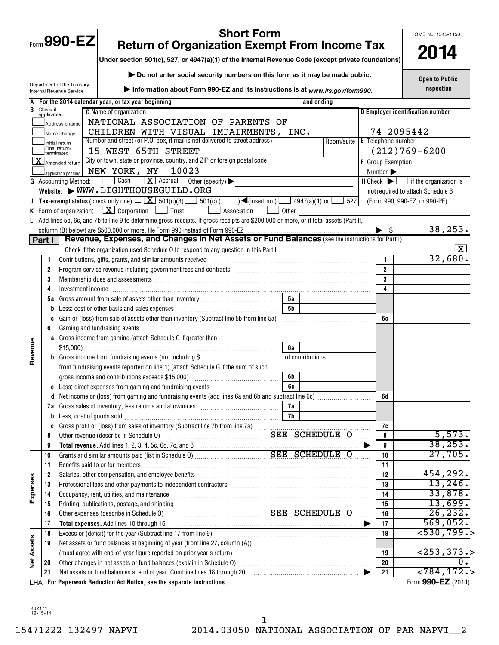|                   |                                                                                                           | <b>Short Form</b><br>Form 990-EZ<br><b>Return of Organization Exempt From Income Tax</b>                                                                                                                                       |                |                               |                          |            | OMB No. 1545-1150                                             |  |  |  |  |
|-------------------|-----------------------------------------------------------------------------------------------------------|--------------------------------------------------------------------------------------------------------------------------------------------------------------------------------------------------------------------------------|----------------|-------------------------------|--------------------------|------------|---------------------------------------------------------------|--|--|--|--|
|                   | Under section 501(c), 527, or 4947(a)(1) of the Internal Revenue Code (except private foundations)        | 2014                                                                                                                                                                                                                           |                |                               |                          |            |                                                               |  |  |  |  |
|                   |                                                                                                           |                                                                                                                                                                                                                                |                |                               |                          |            |                                                               |  |  |  |  |
|                   | Do not enter social security numbers on this form as it may be made public.<br>Department of the Treasury |                                                                                                                                                                                                                                |                |                               |                          |            |                                                               |  |  |  |  |
|                   | Information about Form 990-EZ and its instructions is at www.irs.gov/form990.<br>Internal Revenue Service |                                                                                                                                                                                                                                |                |                               |                          |            |                                                               |  |  |  |  |
| A                 | For the 2014 calendar year, or tax year beginning<br>and ending                                           |                                                                                                                                                                                                                                |                |                               |                          |            |                                                               |  |  |  |  |
| B.                | Check if<br>applicable:                                                                                   | <b>C</b> Name of organization                                                                                                                                                                                                  |                |                               |                          |            | D Employer identification number                              |  |  |  |  |
|                   |                                                                                                           | NATIONAL ASSOCIATION OF PARENTS OF<br>Address change                                                                                                                                                                           |                |                               |                          |            |                                                               |  |  |  |  |
|                   |                                                                                                           | CHILDREN WITH VISUAL IMPAIRMENTS, INC.<br>Name change                                                                                                                                                                          |                |                               |                          | 74-2095442 |                                                               |  |  |  |  |
|                   |                                                                                                           | Number and street (or P.O. box, if mail is not delivered to street address)<br>Initial return<br>Final return/<br>15 WEST 65TH STREET                                                                                          |                | Room/suite E Telephone number |                          |            | $(212)769 - 6200$                                             |  |  |  |  |
|                   |                                                                                                           | Iterminated<br>City or town, state or province, country, and ZIP or foreign postal code<br>$\overline{\mathbf{X}}$ Amended return                                                                                              |                |                               | <b>F</b> Group Exemption |            |                                                               |  |  |  |  |
|                   |                                                                                                           | 10023<br>NEW YORK, NY<br>Application pending                                                                                                                                                                                   |                |                               | Number >                 |            |                                                               |  |  |  |  |
|                   |                                                                                                           | Cash<br>$\boxed{\mathbf{X}}$ Accrual Other (specify)<br><b>G</b> Accounting Method:                                                                                                                                            |                |                               |                          |            | $H$ Check $\blacktriangleright$ $\Box$ if the organization is |  |  |  |  |
|                   |                                                                                                           | Website: WWW.LIGHTHOUSEGUILD.ORG                                                                                                                                                                                               |                |                               |                          |            | not required to attach Schedule B                             |  |  |  |  |
|                   |                                                                                                           | Tax-exempt status (check only one) $\boxed{\mathbf{X}}$ 501(c)(3)<br>$501(c)$ (<br>$\sqrt{\frac{2}{1}}$ (insert no.)                                                                                                           |                | 527<br>$4947(a)(1)$ or        |                          |            | (Form 990, 990-EZ, or 990-PF).                                |  |  |  |  |
|                   |                                                                                                           | <b>K</b> Form of organization: $\boxed{\mathbf{X}}$ Corporation $\boxed{\phantom{a}}$ Trust<br>Association                                                                                                                     | Other          |                               |                          |            |                                                               |  |  |  |  |
|                   |                                                                                                           | L Add lines 5b, 6c, and 7b to line 9 to determine gross receipts. If gross receipts are \$200,000 or more, or if total assets (Part II,                                                                                        |                |                               |                          |            |                                                               |  |  |  |  |
|                   |                                                                                                           |                                                                                                                                                                                                                                |                |                               |                          |            | 38,253.                                                       |  |  |  |  |
|                   | Part I                                                                                                    | Revenue, Expenses, and Changes in Net Assets or Fund Balances (see the instructions for Part I)                                                                                                                                |                |                               |                          |            | X                                                             |  |  |  |  |
|                   | 1                                                                                                         |                                                                                                                                                                                                                                |                |                               | $\mathbf{1}$             |            | 32,680.                                                       |  |  |  |  |
|                   | 2                                                                                                         |                                                                                                                                                                                                                                |                |                               | $\overline{2}$           |            |                                                               |  |  |  |  |
|                   | 3                                                                                                         | Membership dues and assessments [111] Membership and assessments [11] Membership and assessments [11] Membership and assessments [11] Membership and assessments [11] Membership and a state of the state of the state of the  |                |                               | 3                        |            |                                                               |  |  |  |  |
|                   | 4                                                                                                         |                                                                                                                                                                                                                                |                |                               |                          | 4          |                                                               |  |  |  |  |
|                   | 5а                                                                                                        |                                                                                                                                                                                                                                | 5а             |                               |                          |            |                                                               |  |  |  |  |
|                   | b                                                                                                         |                                                                                                                                                                                                                                | 5 <sub>b</sub> |                               |                          |            |                                                               |  |  |  |  |
|                   | C                                                                                                         | Gain or (loss) from sale of assets other than inventory (Subtract line 5b from line 5a)                                                                                                                                        |                |                               | 5c                       |            |                                                               |  |  |  |  |
|                   | 6                                                                                                         | Gaming and fundraising events                                                                                                                                                                                                  |                |                               |                          |            |                                                               |  |  |  |  |
|                   |                                                                                                           | a Gross income from gaming (attach Schedule G if greater than                                                                                                                                                                  |                |                               |                          |            |                                                               |  |  |  |  |
| Revenue           |                                                                                                           | $$15,000$ )<br><b>b</b> Gross income from fundraising events (not including \$                                                                                                                                                 | 6а             | of contributions              |                          |            |                                                               |  |  |  |  |
|                   |                                                                                                           | from fundraising events reported on line 1) (attach Schedule G if the sum of such                                                                                                                                              |                |                               |                          |            |                                                               |  |  |  |  |
|                   |                                                                                                           | gross income and contributions exceeds \$15,000)                                                                                                                                                                               | 6b             |                               |                          |            |                                                               |  |  |  |  |
|                   |                                                                                                           | c Less: direct expenses from gaming and fundraising events                                                                                                                                                                     | 6c             |                               |                          |            |                                                               |  |  |  |  |
|                   |                                                                                                           |                                                                                                                                                                                                                                |                |                               | 6d                       |            |                                                               |  |  |  |  |
|                   | 7a                                                                                                        | Gross sales of inventory, less returns and allowances [111] [11] [12] [13] [14] [15] [15] [15] [15] [15] [15] [                                                                                                                | 7а             |                               |                          |            |                                                               |  |  |  |  |
|                   | b                                                                                                         | Less: cost of goods sold with an annumerator cost of goods sold with an annumerator contract of goods sold                                                                                                                     | 7 <sub>b</sub> |                               |                          |            |                                                               |  |  |  |  |
|                   | c                                                                                                         |                                                                                                                                                                                                                                |                |                               | 7c                       |            | 5,573.                                                        |  |  |  |  |
|                   | 8<br>9                                                                                                    | SEE SCHEDULE O<br>Other revenue (describe in Schedule O)                                                                                                                                                                       |                |                               | 8<br>9                   |            | 38, 253.                                                      |  |  |  |  |
|                   | 10                                                                                                        |                                                                                                                                                                                                                                |                |                               | 10                       |            | 27,705.                                                       |  |  |  |  |
|                   | 11                                                                                                        |                                                                                                                                                                                                                                |                |                               | 11                       |            |                                                               |  |  |  |  |
|                   | 12                                                                                                        | Salaries, other compensation, and employee benefits [11] manufactures in the community of the compensation, and employee benefits [11] manufactures in the community of the community of the community of the community of the |                |                               | 12                       |            | 454, 292.                                                     |  |  |  |  |
|                   | 13                                                                                                        |                                                                                                                                                                                                                                |                |                               | 13                       |            | 13,246.                                                       |  |  |  |  |
| Expenses          | 14                                                                                                        | Occupancy, rent, utilities, and maintenance manufactured and according term of the manufacture of the manufacture                                                                                                              |                |                               | 14                       |            | 33,878.                                                       |  |  |  |  |
|                   | 15                                                                                                        |                                                                                                                                                                                                                                |                |                               | 15                       |            | 13,699.                                                       |  |  |  |  |
|                   | 16<br>17                                                                                                  | SEE SCHEDULE O<br>Other expenses (describe in Schedule O)                                                                                                                                                                      |                |                               | 16                       |            | 26, 232.<br>569,052.                                          |  |  |  |  |
|                   | 18                                                                                                        |                                                                                                                                                                                                                                |                |                               | 17<br>18                 |            | 530, 799.                                                     |  |  |  |  |
|                   | 19                                                                                                        | Net assets or fund balances at beginning of year (from line 27, column (A))                                                                                                                                                    |                |                               |                          |            |                                                               |  |  |  |  |
|                   |                                                                                                           |                                                                                                                                                                                                                                |                |                               | 19                       |            | $<$ 253, 373. >                                               |  |  |  |  |
| <b>Net Assets</b> | 20                                                                                                        | Other changes in net assets or fund balances (explain in Schedule O) [[[[[[[[[[[[[[[[[[[]]]]]]]]]]]                                                                                                                            |                |                               | 20                       |            |                                                               |  |  |  |  |
|                   | 21                                                                                                        | Net assets or fund balances at end of year. Combine lines 18 through 20                                                                                                                                                        |                |                               | 21                       |            | < 784, 172.                                                   |  |  |  |  |
|                   |                                                                                                           | LHA For Paperwork Reduction Act Notice, see the separate instructions.                                                                                                                                                         |                |                               |                          |            | Form 990-EZ (2014)                                            |  |  |  |  |

432171 12-15-14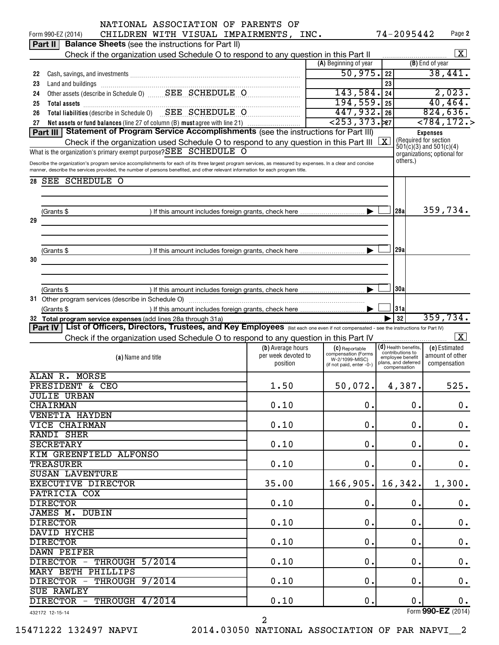|    | NATIONAL ASSOCIATION OF PARENTS OF                                                                                                                                                                                             |                     |                                               |                         |                                     |                                          |               |
|----|--------------------------------------------------------------------------------------------------------------------------------------------------------------------------------------------------------------------------------|---------------------|-----------------------------------------------|-------------------------|-------------------------------------|------------------------------------------|---------------|
|    | CHILDREN WITH VISUAL IMPAIRMENTS, INC.<br>Form 990-EZ (2014)                                                                                                                                                                   |                     |                                               |                         | 74-2095442                          | Page 2                                   |               |
|    | <b>Balance Sheets</b> (see the instructions for Part II)<br>Part II                                                                                                                                                            |                     |                                               |                         |                                     |                                          |               |
|    | Check if the organization used Schedule O to respond to any question in this Part II                                                                                                                                           |                     |                                               |                         |                                     | $\boxed{\textbf{X}}$                     |               |
|    |                                                                                                                                                                                                                                |                     | (A) Beginning of year                         |                         |                                     | (B) End of year                          |               |
| 22 | Cash, savings, and investments [111] Cash, saving and investments [11] Cash, savings, and investments [11] [11                                                                                                                 |                     | 50,975.                                       | 22                      |                                     | 38,441.                                  |               |
| 23 | Land and buildings [11] manufactured and and buildings [11] manufactured and and buildings [11] manufactured and and buildings [11] manufactured and buildings [11] manufactured and buildings [11] manufactured and buildings |                     |                                               | 23                      |                                     |                                          |               |
| 24 | Other assets (describe in Schedule 0) SEE SCHEDULE O                                                                                                                                                                           |                     | 143,584.                                      | 24                      |                                     | 2,023.                                   |               |
| 25 | Total assets <b>continuous continuous continuous continuous</b> continuous continuous continuous continuous continuous                                                                                                         |                     | 194,559.                                      | 25                      |                                     | 40, 464.                                 |               |
| 26 | Total liabilities (describe in Schedule 0) SEE SCHEDULE O                                                                                                                                                                      |                     | 447,932.26<br>$\sqrt{253,373.}$ <sub>27</sub> |                         |                                     | 824,636.                                 |               |
| 27 | Net assets or fund balances (line 27 of column (B) must agree with line 21)                                                                                                                                                    |                     |                                               | $\overline{<}784, 172.$ |                                     |                                          |               |
|    | Part III Statement of Program Service Accomplishments (see the instructions for Part III)                                                                                                                                      |                     |                                               |                         |                                     | <b>Expenses</b><br>(Required for section |               |
|    | Check if the organization used Schedule O to respond to any question in this Part III                                                                                                                                          |                     |                                               | $\overline{\mathbf{x}}$ |                                     | $501(c)(3)$ and $501(c)(4)$              |               |
|    | What is the organization's primary exempt purpose? SEE SCHEDULE O                                                                                                                                                              |                     |                                               |                         |                                     | organizations; optional for              |               |
|    | Describe the organization's program service accomplishments for each of its three largest program services, as measured by expenses. In a clear and concise                                                                    |                     |                                               |                         | others.)                            |                                          |               |
|    | manner, describe the services provided, the number of persons benefited, and other relevant information for each program title.                                                                                                |                     |                                               |                         |                                     |                                          |               |
| 28 | <b>SEE SCHEDULE O</b>                                                                                                                                                                                                          |                     |                                               |                         |                                     |                                          |               |
|    |                                                                                                                                                                                                                                |                     |                                               |                         |                                     |                                          |               |
|    |                                                                                                                                                                                                                                |                     |                                               |                         |                                     |                                          |               |
|    | (Grants \$                                                                                                                                                                                                                     |                     |                                               |                         | 128al                               | 359,734.                                 |               |
| 29 |                                                                                                                                                                                                                                |                     |                                               |                         |                                     |                                          |               |
|    |                                                                                                                                                                                                                                |                     |                                               |                         |                                     |                                          |               |
|    |                                                                                                                                                                                                                                |                     |                                               |                         |                                     |                                          |               |
|    | (Grants \$                                                                                                                                                                                                                     |                     |                                               |                         | 29al                                |                                          |               |
| 30 |                                                                                                                                                                                                                                |                     |                                               |                         |                                     |                                          |               |
|    |                                                                                                                                                                                                                                |                     |                                               |                         |                                     |                                          |               |
|    |                                                                                                                                                                                                                                |                     |                                               |                         |                                     |                                          |               |
|    | (Grants \$                                                                                                                                                                                                                     |                     |                                               |                         | 30a                                 |                                          |               |
|    | 31 Other program services (describe in Schedule O)                                                                                                                                                                             |                     |                                               |                         |                                     |                                          |               |
|    | (Grants \$                                                                                                                                                                                                                     |                     |                                               |                         | 31a                                 |                                          |               |
|    |                                                                                                                                                                                                                                |                     |                                               |                         | 32                                  | 359,734.                                 |               |
|    | Part IV   List of Officers, Directors, Trustees, and Key Employees (list each one even if not compensated - see the instructions for Part IV)                                                                                  |                     |                                               |                         |                                     |                                          |               |
|    | Check if the organization used Schedule O to respond to any question in this Part IV                                                                                                                                           |                     |                                               |                         |                                     | $\boxed{\mathbf{X}}$                     |               |
|    |                                                                                                                                                                                                                                | (b) Average hours   | (C) Reportable                                |                         | $(d)$ Health benefits,              | (e) Estimated                            |               |
|    | (a) Name and title                                                                                                                                                                                                             | per week devoted to | compensation (Forms<br>W-2/1099-MISC)         |                         | contributions to                    |                                          |               |
|    |                                                                                                                                                                                                                                |                     |                                               |                         | emplovee benefit                    | amount of other                          |               |
|    |                                                                                                                                                                                                                                | position            | (if not paid, enter -0-)                      |                         | plans, and deferred<br>compensation | compensation                             |               |
|    | ALAN R. MORSE                                                                                                                                                                                                                  |                     |                                               |                         |                                     |                                          |               |
|    | <b>PRESIDENT &amp; CEO</b>                                                                                                                                                                                                     | 1.50                | 50,072.                                       |                         | 4,387.                              | 525.                                     |               |
|    | <b>JULIE URBAN</b>                                                                                                                                                                                                             |                     |                                               |                         |                                     |                                          |               |
|    | <b>CHAIRMAN</b>                                                                                                                                                                                                                | 0.10                | 0.                                            |                         | 0.                                  |                                          |               |
|    | <b>VENETIA HAYDEN</b>                                                                                                                                                                                                          |                     |                                               |                         |                                     |                                          | $\mathbf 0$ . |
|    | <b>VICE CHAIRMAN</b>                                                                                                                                                                                                           | 0.10                | 0.                                            |                         | 0.                                  |                                          |               |
|    |                                                                                                                                                                                                                                |                     |                                               |                         |                                     |                                          | $0$ .         |
|    | RANDI SHER<br><b>SECRETARY</b>                                                                                                                                                                                                 |                     | 0.                                            |                         |                                     |                                          |               |
|    |                                                                                                                                                                                                                                | 0.10                |                                               |                         | 0.                                  |                                          | 0.            |
|    | KIM GREENFIELD ALFONSO                                                                                                                                                                                                         |                     |                                               |                         |                                     |                                          |               |
|    | <b>TREASURER</b>                                                                                                                                                                                                               | 0.10                | 0.                                            |                         | 0.                                  |                                          | 0.            |
|    | <b>SUSAN LAVENTURE</b>                                                                                                                                                                                                         |                     |                                               |                         |                                     |                                          |               |
|    | <b>EXECUTIVE DIRECTOR</b>                                                                                                                                                                                                      | 35.00               | $166, 905.$ 16, 342.                          |                         |                                     | 1,300.                                   |               |
|    | PATRICIA COX                                                                                                                                                                                                                   |                     |                                               |                         |                                     |                                          |               |
|    | <b>DIRECTOR</b>                                                                                                                                                                                                                | 0.10                | $\mathbf 0$ .                                 |                         | 0.                                  |                                          | 0.            |
|    | <b>JAMES M. DUBIN</b>                                                                                                                                                                                                          |                     |                                               |                         |                                     |                                          |               |
|    | <b>DIRECTOR</b>                                                                                                                                                                                                                | 0.10                | $\mathbf 0$ .                                 |                         | 0.                                  |                                          | $0$ .         |
|    | DAVID HYCHE                                                                                                                                                                                                                    |                     |                                               |                         |                                     |                                          |               |
|    | <b>DIRECTOR</b>                                                                                                                                                                                                                | 0.10                | $\mathbf 0$ .                                 |                         | 0.                                  |                                          | $\mathbf 0$ . |
|    | DAWN PEIFER                                                                                                                                                                                                                    |                     |                                               |                         |                                     |                                          |               |
|    | DIRECTOR - THROUGH 5/2014                                                                                                                                                                                                      | 0.10                | $\mathbf 0$ .                                 |                         | $\mathbf 0$ .                       |                                          | $0$ .         |
|    | <b>MARY BETH PHILLIPS</b>                                                                                                                                                                                                      |                     |                                               |                         |                                     |                                          |               |
|    | DIRECTOR - THROUGH 9/2014                                                                                                                                                                                                      | 0.10                | $\mathbf 0$ .                                 |                         | $\mathbf 0$ .                       |                                          | $0$ .         |
|    | <b>SUE RAWLEY</b>                                                                                                                                                                                                              |                     |                                               |                         |                                     |                                          |               |
|    | DIRECTOR - THROUGH 4/2014<br>432172 12-15-14                                                                                                                                                                                   | 0.10                | $\mathbf 0$ .                                 |                         | 0.                                  | Form 990-EZ (2014)                       | 0.            |

15471222 132497 NAPVI 2014.03050 NATIONAL ASSOCIATION OF PAR NAPVI\_\_2

2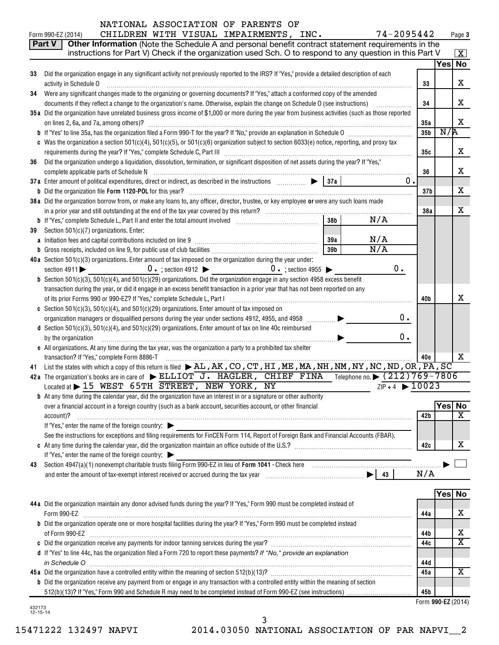| NATIONAL ASSOCIATION OF PARENTS OF |  |  |  |  |  |
|------------------------------------|--|--|--|--|--|
|------------------------------------|--|--|--|--|--|

|    | 74-2095442<br>CHILDREN WITH VISUAL IMPAIRMENTS, INC.<br>Form 990-EZ (2014)                                                                             |                 |        | Page 3                  |
|----|--------------------------------------------------------------------------------------------------------------------------------------------------------|-----------------|--------|-------------------------|
|    | Other Information (Note the Schedule A and personal benefit contract statement requirements in the<br>Part V                                           |                 |        |                         |
|    | instructions for Part V) Check if the organization used Sch. O to respond to any question in this Part V                                               |                 |        | $\boxed{\textbf{X}}$    |
|    |                                                                                                                                                        |                 | Yes No |                         |
| 33 | Did the organization engage in any significant activity not previously reported to the IRS? If "Yes," provide a detailed description of each           |                 |        |                         |
|    | activity in Schedule O                                                                                                                                 | 33              |        | x                       |
| 34 | Were any significant changes made to the organizing or governing documents? If "Yes," attach a conformed copy of the amended                           |                 |        |                         |
|    | documents if they reflect a change to the organization's name. Otherwise, explain the change on Schedule O (see instructions)                          | 34              |        | X.                      |
|    | 35a Did the organization have unrelated business gross income of \$1,000 or more during the year from business activities (such as those reported      |                 |        |                         |
|    | on lines 2, 6a, and 7a, among others)?                                                                                                                 | 35a             |        | x                       |
|    |                                                                                                                                                        | 35 <sub>b</sub> | N/R    |                         |
|    | c Was the organization a section $501(c)(4)$ , $501(c)(5)$ , or $501(c)(6)$ organization subject to section $6033(e)$ notice, reporting, and proxy tax |                 |        |                         |
|    |                                                                                                                                                        | 35c             |        | x                       |
| 36 | Did the organization undergo a liquidation, dissolution, termination, or significant disposition of net assets during the year? If "Yes,"              |                 |        |                         |
|    |                                                                                                                                                        | 36              |        | x                       |
|    | 37a Enter amount of political expenditures, direct or indirect, as described in the instructions merritivial states<br>37a<br>0.                       |                 |        |                         |
|    |                                                                                                                                                        | 37b             |        | х                       |
|    |                                                                                                                                                        |                 |        |                         |
|    | 38 a Did the organization borrow from, or make any loans to, any officer, director, trustee, or key employee or were any such loans made               |                 |        | X                       |
|    | 38 <sub>b</sub><br>N/A                                                                                                                                 | 38a             |        |                         |
|    |                                                                                                                                                        |                 |        |                         |
| 39 | Section 501(c)(7) organizations. Enter:                                                                                                                |                 |        |                         |
|    | N/A<br>39a                                                                                                                                             |                 |        |                         |
|    | N/A<br>39 <sub>b</sub>                                                                                                                                 |                 |        |                         |
|    | 40a Section 501(c)(3) organizations. Enter amount of tax imposed on the organization during the year under:                                            |                 |        |                         |
|    | 0.<br>section 4911 $\triangleright$ 0 $\cdot$ ; section 4912 $\triangleright$ 0 $\cdot$ ; section 4955 $\triangleright$                                |                 |        |                         |
|    | <b>b</b> Section $501(c)(3)$ , $501(c)(4)$ , and $501(c)(29)$ organizations. Did the organization engage in any section 4958 excess benefit            |                 |        |                         |
|    | transaction during the year, or did it engage in an excess benefit transaction in a prior year that has not been reported on any                       |                 |        |                         |
|    | of its prior Forms 990 or 990-EZ? If "Yes," complete Schedule L, Part I [1] [1] [1] [1] [1] [1] [1] [1] [1] [1                                         | 40b             |        | x                       |
|    | c Section 501(c)(3), 501(c)(4), and 501(c)(29) organizations. Enter amount of tax imposed on                                                           |                 |        |                         |
|    | 0.<br>organization managers or disqualified persons during the year under sections 4912, 4955, and 4958 <i>mmmmm</i>                                   |                 |        |                         |
|    | d Section 501(c)(3), 501(c)(4), and 501(c)(29) organizations. Enter amount of tax on line 40c reimbursed                                               |                 |        |                         |
|    | 0.<br>by the organization                                                                                                                              |                 |        |                         |
|    | e All organizations. At any time during the tax year, was the organization a party to a prohibited tax shelter                                         |                 |        |                         |
|    | transaction? If "Yes," complete Form 8886-T                                                                                                            | 40e             |        | x                       |
|    | 41 List the states with which a copy of this return is filed $\blacktriangleright$ AL, AK, CO, CT, HI, ME, MA, NH, NM, NY, NC, ND, OR, PA, SC          |                 |        |                         |
|    | 42a The organization's books are in care of ELLIOT J. HAGLER, CHIEF FINA Telephone no. (212)769-7806                                                   |                 |        |                         |
|    | Located at $\blacktriangleright$ 15 WEST 65TH STREET, NEW YORK, NY<br>$ZIP + 4$ $\triangleright$ 10023                                                 |                 |        |                         |
|    | <b>b</b> At any time during the calendar year, did the organization have an interest in or a signature or other authority                              |                 |        |                         |
|    | over a financial account in a foreign country (such as a bank account, securities account, or other financial                                          |                 | Yes    | <b>No</b>               |
|    | account)?                                                                                                                                              | 42b             |        | $\overline{\mathbf{x}}$ |
|    | If "Yes," enter the name of the foreign country:                                                                                                       |                 |        |                         |
|    | See the instructions for exceptions and filing requirements for FinCEN Form 114, Report of Foreign Bank and Financial Accounts (FBAR).                 |                 |        |                         |
|    |                                                                                                                                                        | 42c             |        | x                       |
|    | If "Yes," enter the name of the foreign country:                                                                                                       |                 |        |                         |
| 43 |                                                                                                                                                        |                 |        |                         |
|    |                                                                                                                                                        | N/A             |        |                         |
|    |                                                                                                                                                        |                 |        |                         |
|    |                                                                                                                                                        |                 | Yes No |                         |
|    | 44 a Did the organization maintain any donor advised funds during the year? If "Yes," Form 990 must be completed instead of                            |                 |        |                         |
|    | Form 990-EZ                                                                                                                                            | 44a             |        | х                       |
|    | <b>b</b> Did the organization operate one or more hospital facilities during the year? If "Yes," Form 990 must be completed instead                    |                 |        |                         |
|    |                                                                                                                                                        | 44b             |        | х                       |
|    |                                                                                                                                                        |                 |        | $\overline{\mathbf{x}}$ |
|    |                                                                                                                                                        | 44c             |        |                         |
|    | d If "Yes" to line 44c, has the organization filed a Form 720 to report these payments? If "No," provide an explanation                                |                 |        |                         |
|    |                                                                                                                                                        | 44d             |        |                         |
|    |                                                                                                                                                        | 45a             |        | $\overline{\mathbf{X}}$ |
|    | <b>b</b> Did the organization receive any payment from or engage in any transaction with a controlled entity within the meaning of section             |                 |        |                         |
|    |                                                                                                                                                        | 45b             |        |                         |

|  | Form <b>990-EZ</b> (2014) |  |
|--|---------------------------|--|
|--|---------------------------|--|

3

432173 12-15-14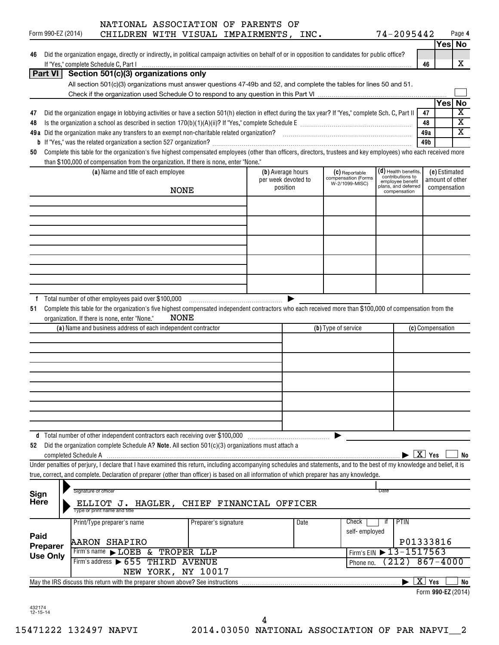|                     |                    |                      | NATIONAL ASSOCIATION OF PARENTS OF                                                                                                                                                                                             |                     |                      |                     |                       |                                       |               |      |                                              |                    |                  |                         |
|---------------------|--------------------|----------------------|--------------------------------------------------------------------------------------------------------------------------------------------------------------------------------------------------------------------------------|---------------------|----------------------|---------------------|-----------------------|---------------------------------------|---------------|------|----------------------------------------------|--------------------|------------------|-------------------------|
|                     | Form 990-EZ (2014) |                      | CHILDREN WITH VISUAL IMPAIRMENTS, INC.                                                                                                                                                                                         |                     |                      |                     |                       |                                       |               |      | 74-2095442                                   |                    |                  | Page 4<br>Yes No        |
| 46                  |                    |                      | Did the organization engage, directly or indirectly, in political campaign activities on behalf of or in opposition to candidates for public office?                                                                           |                     |                      |                     |                       |                                       |               |      |                                              |                    |                  |                         |
|                     |                    |                      |                                                                                                                                                                                                                                |                     |                      |                     |                       |                                       |               |      |                                              | 46                 |                  | X                       |
|                     |                    |                      | Part VI Section 501(c)(3) organizations only                                                                                                                                                                                   |                     |                      |                     |                       |                                       |               |      |                                              |                    |                  |                         |
|                     |                    |                      | All section 501(c)(3) organizations must answer questions 47-49b and 52, and complete the tables for lines 50 and 51.                                                                                                          |                     |                      |                     |                       |                                       |               |      |                                              |                    |                  |                         |
|                     |                    |                      |                                                                                                                                                                                                                                |                     |                      |                     |                       |                                       |               |      |                                              |                    |                  |                         |
| 47                  |                    |                      | Did the organization engage in lobbying activities or have a section 501(h) election in effect during the tax year? If "Yes," complete Sch. C, Part II                                                                         |                     |                      |                     |                       |                                       |               |      |                                              | 47                 | Yes No           | $\overline{\textbf{x}}$ |
| 48                  |                    |                      |                                                                                                                                                                                                                                |                     |                      |                     |                       |                                       |               |      |                                              | 48                 |                  | $\overline{\textbf{x}}$ |
|                     |                    |                      |                                                                                                                                                                                                                                |                     |                      |                     |                       |                                       |               |      |                                              | 49a                |                  | $\overline{\mathtt{x}}$ |
|                     |                    |                      |                                                                                                                                                                                                                                |                     |                      |                     |                       |                                       |               |      |                                              | 49b                |                  |                         |
| 50                  |                    |                      | Complete this table for the organization's five highest compensated employees (other than officers, directors, trustees and key employees) who each received more                                                              |                     |                      |                     |                       |                                       |               |      |                                              |                    |                  |                         |
|                     |                    |                      | than \$100,000 of compensation from the organization. If there is none, enter "None."<br>(a) Name and title of each employee                                                                                                   |                     |                      | (b) Average hours   |                       | (C) Reportable                        |               |      | $(d)$ Health benefits,                       |                    | (e) Estimated    |                         |
|                     |                    |                      |                                                                                                                                                                                                                                |                     |                      | per week devoted to |                       | compensation (Forms<br>W-2/1099-MISC) |               |      | contributions to<br>employee benefit         |                    | amount of other  |                         |
|                     |                    |                      |                                                                                                                                                                                                                                | <b>NONE</b>         |                      | position            |                       |                                       |               |      | plans, and deferred<br>compensation          |                    | compensation     |                         |
|                     |                    |                      |                                                                                                                                                                                                                                |                     |                      |                     |                       |                                       |               |      |                                              |                    |                  |                         |
|                     |                    |                      |                                                                                                                                                                                                                                |                     |                      |                     |                       |                                       |               |      |                                              |                    |                  |                         |
|                     |                    |                      |                                                                                                                                                                                                                                |                     |                      |                     |                       |                                       |               |      |                                              |                    |                  |                         |
|                     |                    |                      |                                                                                                                                                                                                                                |                     |                      |                     |                       |                                       |               |      |                                              |                    |                  |                         |
|                     |                    |                      |                                                                                                                                                                                                                                |                     |                      |                     |                       |                                       |               |      |                                              |                    |                  |                         |
|                     |                    |                      |                                                                                                                                                                                                                                |                     |                      |                     |                       |                                       |               |      |                                              |                    |                  |                         |
|                     |                    |                      |                                                                                                                                                                                                                                |                     |                      |                     |                       |                                       |               |      |                                              |                    |                  |                         |
|                     |                    |                      |                                                                                                                                                                                                                                |                     |                      |                     |                       |                                       |               |      |                                              |                    |                  |                         |
|                     |                    |                      |                                                                                                                                                                                                                                |                     |                      |                     |                       |                                       |               |      |                                              |                    |                  |                         |
| 51                  |                    |                      | f Total number of other employees paid over \$100,000<br>Complete this table for the organization's five highest compensated independent contractors who each received more than \$100,000 of compensation from the            |                     |                      |                     | $\blacktriangleright$ |                                       |               |      |                                              |                    |                  |                         |
|                     |                    |                      | organization. If there is none, enter "None."                                                                                                                                                                                  | NONE                |                      |                     |                       |                                       |               |      |                                              |                    |                  |                         |
|                     |                    |                      | (a) Name and business address of each independent contractor                                                                                                                                                                   |                     |                      |                     |                       | (b) Type of service                   |               |      |                                              |                    | (c) Compensation |                         |
|                     |                    |                      |                                                                                                                                                                                                                                |                     |                      |                     |                       |                                       |               |      |                                              |                    |                  |                         |
|                     |                    |                      |                                                                                                                                                                                                                                |                     |                      |                     |                       |                                       |               |      |                                              |                    |                  |                         |
|                     |                    |                      |                                                                                                                                                                                                                                |                     |                      |                     |                       |                                       |               |      |                                              |                    |                  |                         |
|                     |                    |                      |                                                                                                                                                                                                                                |                     |                      |                     |                       |                                       |               |      |                                              |                    |                  |                         |
|                     |                    |                      |                                                                                                                                                                                                                                |                     |                      |                     |                       |                                       |               |      |                                              |                    |                  |                         |
|                     |                    |                      |                                                                                                                                                                                                                                |                     |                      |                     |                       |                                       |               |      |                                              |                    |                  |                         |
|                     |                    |                      |                                                                                                                                                                                                                                |                     |                      |                     |                       |                                       |               |      |                                              |                    |                  |                         |
|                     |                    |                      |                                                                                                                                                                                                                                |                     |                      |                     |                       |                                       |               |      |                                              |                    |                  |                         |
|                     |                    |                      | d Total number of other independent contractors each receiving over \$100,000                                                                                                                                                  |                     |                      |                     |                       |                                       |               |      |                                              |                    |                  |                         |
| 52                  |                    |                      | Did the organization complete Schedule A? Note. All section 501(c)(3) organizations must attach a                                                                                                                              |                     |                      |                     |                       |                                       |               |      |                                              |                    |                  |                         |
|                     |                    |                      | completed Schedule A Material Communications and Communications and Communications are completed Schedule A Material Communications and Communications and Communications and Communications and Communications are controlled |                     |                      |                     |                       |                                       |               |      | $\blacktriangleright$ $\boxed{\text{X}}$ Yes |                    |                  | No                      |
|                     |                    |                      | Under penalties of perjury, I declare that I have examined this return, including accompanying schedules and statements, and to the best of my knowledge and belief, it is                                                     |                     |                      |                     |                       |                                       |               |      |                                              |                    |                  |                         |
|                     |                    |                      | true, correct, and complete. Declaration of preparer (other than officer) is based on all information of which preparer has any knowledge.                                                                                     |                     |                      |                     |                       |                                       |               |      |                                              |                    |                  |                         |
|                     |                    | Signature of officer |                                                                                                                                                                                                                                |                     |                      |                     |                       |                                       |               | Date |                                              |                    |                  |                         |
| Sign<br><b>Here</b> |                    |                      | ELLIOT J. HAGLER, CHIEF FINANCIAL OFFICER<br>Type or print name and title                                                                                                                                                      |                     |                      |                     |                       |                                       |               |      |                                              |                    |                  |                         |
|                     |                    |                      | Print/Type preparer's name                                                                                                                                                                                                     |                     | Preparer's signature |                     | Date                  | Check                                 |               | ït   | <b>PTIN</b>                                  |                    |                  |                         |
| Paid                |                    |                      |                                                                                                                                                                                                                                |                     |                      |                     |                       |                                       | self-employed |      |                                              |                    |                  |                         |
|                     | Preparer           |                      | <b>AARON SHAPIRO</b>                                                                                                                                                                                                           |                     |                      |                     |                       |                                       |               |      | P01333816                                    |                    |                  |                         |
|                     | <b>Use Only</b>    |                      | Firm's name > LOEB & TROPER LLP                                                                                                                                                                                                |                     |                      |                     |                       |                                       | Firm's EIN    |      | $\blacktriangleright$ 13-1517563             |                    |                  |                         |
|                     |                    |                      | Firm's address $\triangleright$ 655                                                                                                                                                                                            | <b>THIRD AVENUE</b> |                      |                     |                       |                                       | Phone no.     |      | $\overline{212}$                             |                    | $867 - 4000$     |                         |
|                     |                    |                      |                                                                                                                                                                                                                                | NEW YORK, NY 10017  |                      |                     |                       |                                       |               |      |                                              | $\overline{X}$ Yes |                  | <b>No</b>               |
|                     |                    |                      | May the IRS discuss this return with the preparer shown above? See instructions                                                                                                                                                |                     |                      |                     |                       |                                       |               |      |                                              |                    |                  | Form 990-EZ (2014)      |
|                     |                    |                      |                                                                                                                                                                                                                                |                     |                      |                     |                       |                                       |               |      |                                              |                    |                  |                         |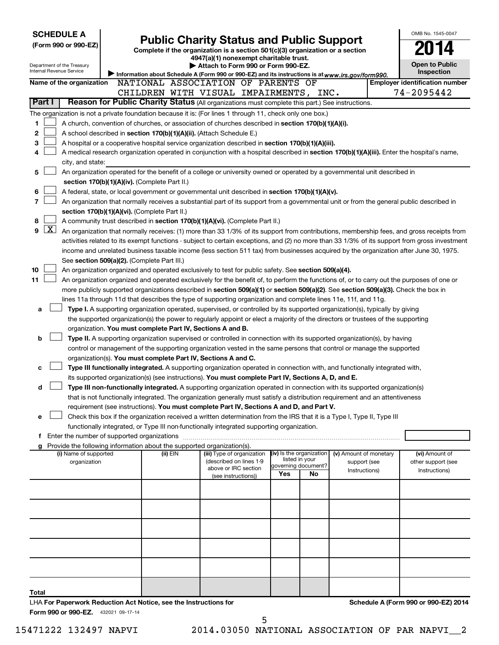| Internal Revenue Service | <b>SCHEDULE A</b><br>(Form 990 or 990-EZ)<br>Department of the Treasury                                                   |  | OMB No. 1545-0047<br><b>Public Charity Status and Public Support</b><br>Complete if the organization is a section 501(c)(3) organization or a section<br>4947(a)(1) nonexempt charitable trust.<br><b>Open to Public</b><br>Attach to Form 990 or Form 990-EZ.<br>Inspection<br>Information about Schedule A (Form 990 or 990-EZ) and its instructions is at www.irs.gov/form990. |                                             |  |     |                                       |                        |  |                                                                                                                                               |  |
|--------------------------|---------------------------------------------------------------------------------------------------------------------------|--|-----------------------------------------------------------------------------------------------------------------------------------------------------------------------------------------------------------------------------------------------------------------------------------------------------------------------------------------------------------------------------------|---------------------------------------------|--|-----|---------------------------------------|------------------------|--|-----------------------------------------------------------------------------------------------------------------------------------------------|--|
|                          | Name of the organization                                                                                                  |  | NATIONAL ASSOCIATION OF PARENTS OF                                                                                                                                                                                                                                                                                                                                                |                                             |  |     |                                       |                        |  | <b>Employer identification number</b>                                                                                                         |  |
|                          |                                                                                                                           |  | CHILDREN WITH VISUAL IMPAIRMENTS, INC.                                                                                                                                                                                                                                                                                                                                            |                                             |  |     |                                       |                        |  | 74-2095442                                                                                                                                    |  |
| Part I                   |                                                                                                                           |  | Reason for Public Charity Status (All organizations must complete this part.) See instructions.                                                                                                                                                                                                                                                                                   |                                             |  |     |                                       |                        |  |                                                                                                                                               |  |
|                          |                                                                                                                           |  | The organization is not a private foundation because it is: (For lines 1 through 11, check only one box.)                                                                                                                                                                                                                                                                         |                                             |  |     |                                       |                        |  |                                                                                                                                               |  |
| 1                        |                                                                                                                           |  | A church, convention of churches, or association of churches described in section 170(b)(1)(A)(i).                                                                                                                                                                                                                                                                                |                                             |  |     |                                       |                        |  |                                                                                                                                               |  |
| 2                        |                                                                                                                           |  | A school described in section 170(b)(1)(A)(ii). (Attach Schedule E.)                                                                                                                                                                                                                                                                                                              |                                             |  |     |                                       |                        |  |                                                                                                                                               |  |
| 3                        |                                                                                                                           |  | A hospital or a cooperative hospital service organization described in section 170(b)(1)(A)(iii).                                                                                                                                                                                                                                                                                 |                                             |  |     |                                       |                        |  |                                                                                                                                               |  |
| 4                        |                                                                                                                           |  |                                                                                                                                                                                                                                                                                                                                                                                   |                                             |  |     |                                       |                        |  | A medical research organization operated in conjunction with a hospital described in section 170(b)(1)(A)(iii). Enter the hospital's name,    |  |
|                          | city, and state:                                                                                                          |  |                                                                                                                                                                                                                                                                                                                                                                                   |                                             |  |     |                                       |                        |  |                                                                                                                                               |  |
| 5                        | An organization operated for the benefit of a college or university owned or operated by a governmental unit described in |  |                                                                                                                                                                                                                                                                                                                                                                                   |                                             |  |     |                                       |                        |  |                                                                                                                                               |  |
|                          | section 170(b)(1)(A)(iv). (Complete Part II.)                                                                             |  |                                                                                                                                                                                                                                                                                                                                                                                   |                                             |  |     |                                       |                        |  |                                                                                                                                               |  |
| 6                        |                                                                                                                           |  | A federal, state, or local government or governmental unit described in section 170(b)(1)(A)(v).                                                                                                                                                                                                                                                                                  |                                             |  |     |                                       |                        |  |                                                                                                                                               |  |
| 7                        |                                                                                                                           |  |                                                                                                                                                                                                                                                                                                                                                                                   |                                             |  |     |                                       |                        |  | An organization that normally receives a substantial part of its support from a governmental unit or from the general public described in     |  |
|                          |                                                                                                                           |  | section 170(b)(1)(A)(vi). (Complete Part II.)                                                                                                                                                                                                                                                                                                                                     |                                             |  |     |                                       |                        |  |                                                                                                                                               |  |
| 8                        |                                                                                                                           |  | A community trust described in section 170(b)(1)(A)(vi). (Complete Part II.)                                                                                                                                                                                                                                                                                                      |                                             |  |     |                                       |                        |  |                                                                                                                                               |  |
| $\lfloor x \rfloor$<br>9 |                                                                                                                           |  |                                                                                                                                                                                                                                                                                                                                                                                   |                                             |  |     |                                       |                        |  | An organization that normally receives: (1) more than 33 1/3% of its support from contributions, membership fees, and gross receipts from     |  |
|                          |                                                                                                                           |  |                                                                                                                                                                                                                                                                                                                                                                                   |                                             |  |     |                                       |                        |  | activities related to its exempt functions - subject to certain exceptions, and (2) no more than 33 1/3% of its support from gross investment |  |
|                          |                                                                                                                           |  |                                                                                                                                                                                                                                                                                                                                                                                   |                                             |  |     |                                       |                        |  | income and unrelated business taxable income (less section 511 tax) from businesses acquired by the organization after June 30, 1975.         |  |
|                          |                                                                                                                           |  | See section 509(a)(2). (Complete Part III.)                                                                                                                                                                                                                                                                                                                                       |                                             |  |     |                                       |                        |  |                                                                                                                                               |  |
| 10                       |                                                                                                                           |  | An organization organized and operated exclusively to test for public safety. See section 509(a)(4).                                                                                                                                                                                                                                                                              |                                             |  |     |                                       |                        |  |                                                                                                                                               |  |
| 11                       |                                                                                                                           |  |                                                                                                                                                                                                                                                                                                                                                                                   |                                             |  |     |                                       |                        |  | An organization organized and operated exclusively for the benefit of, to perform the functions of, or to carry out the purposes of one or    |  |
|                          |                                                                                                                           |  | more publicly supported organizations described in section 509(a)(1) or section 509(a)(2). See section 509(a)(3). Check the box in                                                                                                                                                                                                                                                |                                             |  |     |                                       |                        |  |                                                                                                                                               |  |
|                          |                                                                                                                           |  | lines 11a through 11d that describes the type of supporting organization and complete lines 11e, 11f, and 11g.                                                                                                                                                                                                                                                                    |                                             |  |     |                                       |                        |  |                                                                                                                                               |  |
| а                        |                                                                                                                           |  | Type I. A supporting organization operated, supervised, or controlled by its supported organization(s), typically by giving                                                                                                                                                                                                                                                       |                                             |  |     |                                       |                        |  |                                                                                                                                               |  |
|                          |                                                                                                                           |  | the supported organization(s) the power to regularly appoint or elect a majority of the directors or trustees of the supporting                                                                                                                                                                                                                                                   |                                             |  |     |                                       |                        |  |                                                                                                                                               |  |
|                          |                                                                                                                           |  | organization. You must complete Part IV, Sections A and B.                                                                                                                                                                                                                                                                                                                        |                                             |  |     |                                       |                        |  |                                                                                                                                               |  |
| b                        |                                                                                                                           |  | Type II. A supporting organization supervised or controlled in connection with its supported organization(s), by having                                                                                                                                                                                                                                                           |                                             |  |     |                                       |                        |  |                                                                                                                                               |  |
|                          |                                                                                                                           |  | control or management of the supporting organization vested in the same persons that control or manage the supported                                                                                                                                                                                                                                                              |                                             |  |     |                                       |                        |  |                                                                                                                                               |  |
|                          |                                                                                                                           |  | organization(s). You must complete Part IV, Sections A and C.                                                                                                                                                                                                                                                                                                                     |                                             |  |     |                                       |                        |  |                                                                                                                                               |  |
| с                        |                                                                                                                           |  | Type III functionally integrated. A supporting organization operated in connection with, and functionally integrated with,                                                                                                                                                                                                                                                        |                                             |  |     |                                       |                        |  |                                                                                                                                               |  |
|                          |                                                                                                                           |  | its supported organization(s) (see instructions). You must complete Part IV, Sections A, D, and E.                                                                                                                                                                                                                                                                                |                                             |  |     |                                       |                        |  |                                                                                                                                               |  |
| d                        |                                                                                                                           |  | Type III non-functionally integrated. A supporting organization operated in connection with its supported organization(s)                                                                                                                                                                                                                                                         |                                             |  |     |                                       |                        |  |                                                                                                                                               |  |
|                          |                                                                                                                           |  | that is not functionally integrated. The organization generally must satisfy a distribution requirement and an attentiveness                                                                                                                                                                                                                                                      |                                             |  |     |                                       |                        |  |                                                                                                                                               |  |
|                          |                                                                                                                           |  | requirement (see instructions). You must complete Part IV, Sections A and D, and Part V.                                                                                                                                                                                                                                                                                          |                                             |  |     |                                       |                        |  |                                                                                                                                               |  |
| е                        |                                                                                                                           |  | Check this box if the organization received a written determination from the IRS that it is a Type I, Type II, Type III                                                                                                                                                                                                                                                           |                                             |  |     |                                       |                        |  |                                                                                                                                               |  |
|                          |                                                                                                                           |  | functionally integrated, or Type III non-functionally integrated supporting organization.                                                                                                                                                                                                                                                                                         |                                             |  |     |                                       |                        |  |                                                                                                                                               |  |
|                          |                                                                                                                           |  |                                                                                                                                                                                                                                                                                                                                                                                   |                                             |  |     |                                       |                        |  |                                                                                                                                               |  |
|                          |                                                                                                                           |  | Provide the following information about the supported organization(s).                                                                                                                                                                                                                                                                                                            |                                             |  |     |                                       |                        |  |                                                                                                                                               |  |
|                          | (i) Name of supported                                                                                                     |  | (ii) EIN                                                                                                                                                                                                                                                                                                                                                                          | (iii) Type of organization                  |  |     | (iv) Is the organization              | (v) Amount of monetary |  | (vi) Amount of                                                                                                                                |  |
|                          | organization                                                                                                              |  |                                                                                                                                                                                                                                                                                                                                                                                   | (described on lines 1-9                     |  |     | listed in your<br>governing document? | support (see           |  | other support (see                                                                                                                            |  |
|                          |                                                                                                                           |  |                                                                                                                                                                                                                                                                                                                                                                                   | above or IRC section<br>(see instructions)) |  | Yes | No                                    | Instructions)          |  | Instructions)                                                                                                                                 |  |
|                          |                                                                                                                           |  |                                                                                                                                                                                                                                                                                                                                                                                   |                                             |  |     |                                       |                        |  |                                                                                                                                               |  |
|                          |                                                                                                                           |  |                                                                                                                                                                                                                                                                                                                                                                                   |                                             |  |     |                                       |                        |  |                                                                                                                                               |  |
|                          |                                                                                                                           |  |                                                                                                                                                                                                                                                                                                                                                                                   |                                             |  |     |                                       |                        |  |                                                                                                                                               |  |
|                          |                                                                                                                           |  |                                                                                                                                                                                                                                                                                                                                                                                   |                                             |  |     |                                       |                        |  |                                                                                                                                               |  |
|                          |                                                                                                                           |  |                                                                                                                                                                                                                                                                                                                                                                                   |                                             |  |     |                                       |                        |  |                                                                                                                                               |  |
|                          |                                                                                                                           |  |                                                                                                                                                                                                                                                                                                                                                                                   |                                             |  |     |                                       |                        |  |                                                                                                                                               |  |
|                          |                                                                                                                           |  |                                                                                                                                                                                                                                                                                                                                                                                   |                                             |  |     |                                       |                        |  |                                                                                                                                               |  |
|                          |                                                                                                                           |  |                                                                                                                                                                                                                                                                                                                                                                                   |                                             |  |     |                                       |                        |  |                                                                                                                                               |  |
|                          |                                                                                                                           |  |                                                                                                                                                                                                                                                                                                                                                                                   |                                             |  |     |                                       |                        |  |                                                                                                                                               |  |
|                          |                                                                                                                           |  |                                                                                                                                                                                                                                                                                                                                                                                   |                                             |  |     |                                       |                        |  |                                                                                                                                               |  |
|                          |                                                                                                                           |  |                                                                                                                                                                                                                                                                                                                                                                                   |                                             |  |     |                                       |                        |  |                                                                                                                                               |  |
| Total                    |                                                                                                                           |  |                                                                                                                                                                                                                                                                                                                                                                                   |                                             |  |     |                                       |                        |  |                                                                                                                                               |  |
|                          |                                                                                                                           |  | LHA For Paperwork Reduction Act Notice, see the Instructions for                                                                                                                                                                                                                                                                                                                  |                                             |  |     |                                       |                        |  | Schedule A (Form 990 or 990-EZ) 2014                                                                                                          |  |

Form 990 or 990-EZ. 432021 09-17-14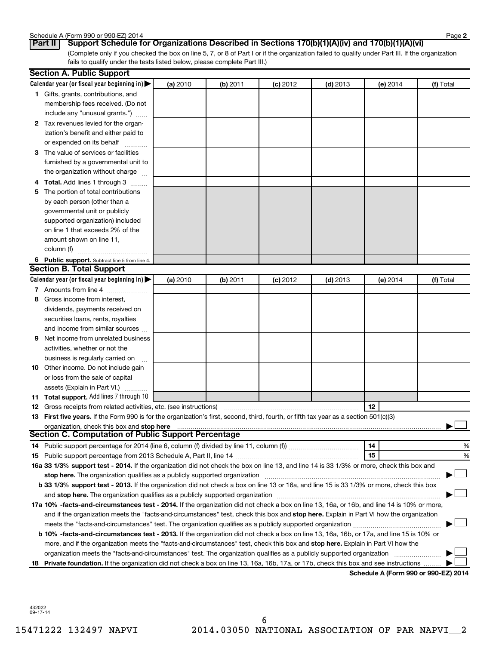| Schedule A (Form 990 or 990-EZ) 2014 | Page |
|--------------------------------------|------|
|--------------------------------------|------|

(Complete only if you checked the box on line 5, 7, or 8 of Part I or if the organization failed to qualify under Part III. If the organization fails to qualify under the tests listed below, please complete Part III.) **Part II Support Schedule for Organizations Described in Sections 170(b)(1)(A)(iv) and 170(b)(1)(A)(vi)**

|    | <b>Section A. Public Support</b>                                                                                                                                                    |          |          |            |            |          |                                      |
|----|-------------------------------------------------------------------------------------------------------------------------------------------------------------------------------------|----------|----------|------------|------------|----------|--------------------------------------|
|    | Calendar year (or fiscal year beginning in)                                                                                                                                         | (a) 2010 | (b) 2011 | $(c)$ 2012 | $(d)$ 2013 | (e) 2014 | (f) Total                            |
|    | 1 Gifts, grants, contributions, and                                                                                                                                                 |          |          |            |            |          |                                      |
|    | membership fees received. (Do not                                                                                                                                                   |          |          |            |            |          |                                      |
|    | include any "unusual grants.")                                                                                                                                                      |          |          |            |            |          |                                      |
|    | 2 Tax revenues levied for the organ-                                                                                                                                                |          |          |            |            |          |                                      |
|    | ization's benefit and either paid to                                                                                                                                                |          |          |            |            |          |                                      |
|    | or expended on its behalf                                                                                                                                                           |          |          |            |            |          |                                      |
|    | 3 The value of services or facilities                                                                                                                                               |          |          |            |            |          |                                      |
|    | furnished by a governmental unit to                                                                                                                                                 |          |          |            |            |          |                                      |
|    | the organization without charge                                                                                                                                                     |          |          |            |            |          |                                      |
|    | 4 Total. Add lines 1 through 3                                                                                                                                                      |          |          |            |            |          |                                      |
|    | 5 The portion of total contributions                                                                                                                                                |          |          |            |            |          |                                      |
|    | by each person (other than a                                                                                                                                                        |          |          |            |            |          |                                      |
|    | governmental unit or publicly                                                                                                                                                       |          |          |            |            |          |                                      |
|    | supported organization) included                                                                                                                                                    |          |          |            |            |          |                                      |
|    | on line 1 that exceeds 2% of the                                                                                                                                                    |          |          |            |            |          |                                      |
|    | amount shown on line 11,                                                                                                                                                            |          |          |            |            |          |                                      |
|    | column (f)                                                                                                                                                                          |          |          |            |            |          |                                      |
|    | 6 Public support. Subtract line 5 from line 4.                                                                                                                                      |          |          |            |            |          |                                      |
|    | <b>Section B. Total Support</b>                                                                                                                                                     |          |          |            |            |          |                                      |
|    | Calendar year (or fiscal year beginning in)                                                                                                                                         | (a) 2010 | (b) 2011 | $(c)$ 2012 | $(d)$ 2013 | (e) 2014 | (f) Total                            |
|    | 7 Amounts from line 4                                                                                                                                                               |          |          |            |            |          |                                      |
|    | 8 Gross income from interest,                                                                                                                                                       |          |          |            |            |          |                                      |
|    | dividends, payments received on                                                                                                                                                     |          |          |            |            |          |                                      |
|    | securities loans, rents, royalties                                                                                                                                                  |          |          |            |            |          |                                      |
|    | and income from similar sources                                                                                                                                                     |          |          |            |            |          |                                      |
| 9  | Net income from unrelated business                                                                                                                                                  |          |          |            |            |          |                                      |
|    | activities, whether or not the                                                                                                                                                      |          |          |            |            |          |                                      |
|    | business is regularly carried on                                                                                                                                                    |          |          |            |            |          |                                      |
|    | 10 Other income. Do not include gain                                                                                                                                                |          |          |            |            |          |                                      |
|    | or loss from the sale of capital                                                                                                                                                    |          |          |            |            |          |                                      |
|    | assets (Explain in Part VI.)                                                                                                                                                        |          |          |            |            |          |                                      |
|    | 11 Total support. Add lines 7 through 10                                                                                                                                            |          |          |            |            |          |                                      |
|    | <b>12</b> Gross receipts from related activities, etc. (see instructions)                                                                                                           |          |          |            |            | 12       |                                      |
|    | 13 First five years. If the Form 990 is for the organization's first, second, third, fourth, or fifth tax year as a section 501(c)(3)<br>organization, check this box and stop here |          |          |            |            |          |                                      |
|    | <b>Section C. Computation of Public Support Percentage</b>                                                                                                                          |          |          |            |            |          |                                      |
|    |                                                                                                                                                                                     |          |          |            |            | 14       | %                                    |
|    |                                                                                                                                                                                     |          |          |            |            | 15       | %                                    |
|    | 16a 33 1/3% support test - 2014. If the organization did not check the box on line 13, and line 14 is 33 1/3% or more, check this box and                                           |          |          |            |            |          |                                      |
|    | stop here. The organization qualifies as a publicly supported organization                                                                                                          |          |          |            |            |          |                                      |
|    | b 33 1/3% support test - 2013. If the organization did not check a box on line 13 or 16a, and line 15 is 33 1/3% or more, check this box                                            |          |          |            |            |          |                                      |
|    |                                                                                                                                                                                     |          |          |            |            |          |                                      |
|    | 17a 10% -facts-and-circumstances test - 2014. If the organization did not check a box on line 13, 16a, or 16b, and line 14 is 10% or more,                                          |          |          |            |            |          |                                      |
|    | and if the organization meets the "facts-and-circumstances" test, check this box and stop here. Explain in Part VI how the organization                                             |          |          |            |            |          |                                      |
|    | meets the "facts-and-circumstances" test. The organization qualifies as a publicly supported organization                                                                           |          |          |            |            |          |                                      |
|    | b 10% -facts-and-circumstances test - 2013. If the organization did not check a box on line 13, 16a, 16b, or 17a, and line 15 is 10% or                                             |          |          |            |            |          |                                      |
|    | more, and if the organization meets the "facts-and-circumstances" test, check this box and stop here. Explain in Part VI how the                                                    |          |          |            |            |          |                                      |
|    | organization meets the "facts-and-circumstances" test. The organization qualifies as a publicly supported organization                                                              |          |          |            |            |          |                                      |
| 18 | Private foundation. If the organization did not check a box on line 13, 16a, 16b, 17a, or 17b, check this box and see instructions                                                  |          |          |            |            |          |                                      |
|    |                                                                                                                                                                                     |          |          |            |            |          | Schedule A (Form 990 or 990-EZ) 2014 |

432022 09-17-14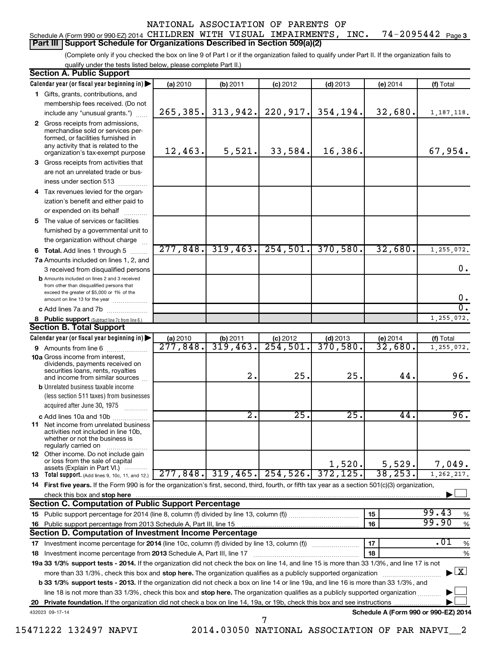#### 74-2095442 Page 3 Schedule A (Form 990 or 990-EZ) 2014 <code>CHILDREN WITH VISUAL IMPAIRMENTS</code> , <code>INC. 74-2095442</code> <code>Page</code> **Part III Support Schedule for Organizations Described in Section 509(a)(2)**

(Complete only if you checked the box on line 9 of Part I or if the organization failed to qualify under Part II. If the organization fails to qualify under the tests listed below, please complete Part II.)

| <b>Section A. Public Support</b>                                                                                                                    |                       |                  |                        |                        |                                      |                                          |
|-----------------------------------------------------------------------------------------------------------------------------------------------------|-----------------------|------------------|------------------------|------------------------|--------------------------------------|------------------------------------------|
| Calendar year (or fiscal year beginning in)                                                                                                         | (a) 2010              | (b) 2011         | $(c)$ 2012             | $(d)$ 2013             | $(e)$ 2014                           | (f) Total                                |
| 1 Gifts, grants, contributions, and                                                                                                                 |                       |                  |                        |                        |                                      |                                          |
| membership fees received. (Do not                                                                                                                   |                       |                  |                        |                        |                                      |                                          |
| include any "unusual grants.")                                                                                                                      | 265,385.              | 313,942.         | 220,917.               | 354,194.               | 32,680.                              | 1, 187, 118.                             |
| 2 Gross receipts from admissions,<br>merchandise sold or services per-<br>formed, or facilities furnished in<br>any activity that is related to the | 12,463.               | 5,521.           | 33,584.                | 16,386.                |                                      | 67,954.                                  |
| organization's tax-exempt purpose                                                                                                                   |                       |                  |                        |                        |                                      |                                          |
| 3 Gross receipts from activities that                                                                                                               |                       |                  |                        |                        |                                      |                                          |
| are not an unrelated trade or bus-<br>iness under section 513                                                                                       |                       |                  |                        |                        |                                      |                                          |
| 4 Tax revenues levied for the organ-                                                                                                                |                       |                  |                        |                        |                                      |                                          |
| ization's benefit and either paid to                                                                                                                |                       |                  |                        |                        |                                      |                                          |
| or expended on its behalf                                                                                                                           |                       |                  |                        |                        |                                      |                                          |
| .<br>5 The value of services or facilities                                                                                                          |                       |                  |                        |                        |                                      |                                          |
| furnished by a governmental unit to                                                                                                                 |                       |                  |                        |                        |                                      |                                          |
| the organization without charge                                                                                                                     |                       |                  |                        |                        |                                      |                                          |
| 6 Total. Add lines 1 through 5                                                                                                                      | 277,848.              | 319,463.         | 254,501.               | 370,580.               | 32,680.                              | 1,255,072.                               |
| 7a Amounts included on lines 1, 2, and                                                                                                              |                       |                  |                        |                        |                                      |                                          |
| 3 received from disqualified persons                                                                                                                |                       |                  |                        |                        |                                      | 0.                                       |
| <b>b</b> Amounts included on lines 2 and 3 received<br>from other than disqualified persons that<br>exceed the greater of \$5,000 or 1% of the      |                       |                  |                        |                        |                                      | $\mathbf 0$ .                            |
| amount on line 13 for the year<br>c Add lines 7a and 7b                                                                                             |                       |                  |                        |                        |                                      | σ.                                       |
| 8 Public support (Subtract line 7c from line 6.)                                                                                                    |                       |                  |                        |                        |                                      | 1,255,072.                               |
| <b>Section B. Total Support</b>                                                                                                                     |                       |                  |                        |                        |                                      |                                          |
| Calendar year (or fiscal year beginning in)                                                                                                         | (a) 2010              | (b) 2011         | $(c)$ 2012             | $(d)$ 2013             | $(e)$ 2014                           | (f) Total                                |
| <b>9</b> Amounts from line 6                                                                                                                        | $\overline{277,848}$  | 319,463.         | $\overline{254,501}$ . | $\overline{370}$ ,580. | 32,680.                              | 1,255,072.                               |
| <b>10a</b> Gross income from interest,<br>dividends, payments received on<br>securities loans, rents, royalties<br>and income from similar sources  |                       | 2.               | 25.                    | 25.                    | 44.                                  | 96.                                      |
| <b>b</b> Unrelated business taxable income                                                                                                          |                       |                  |                        |                        |                                      |                                          |
| (less section 511 taxes) from businesses<br>acquired after June 30, 1975                                                                            |                       |                  |                        |                        |                                      |                                          |
| c Add lines 10a and 10b                                                                                                                             |                       | $\overline{2}$ . | 25.                    | 25.                    | 44.                                  | 96.                                      |
| <b>11</b> Net income from unrelated business<br>activities not included in line 10b,<br>whether or not the business is<br>regularly carried on      |                       |                  |                        |                        |                                      |                                          |
| <b>12</b> Other income. Do not include gain<br>or loss from the sale of capital<br>assets (Explain in Part VI.)                                     |                       |                  |                        | 1,520.                 | 5,529.                               | 7,049.                                   |
| <b>13</b> Total support. (Add lines 9, 10c, 11, and 12.)                                                                                            | $\overline{277,848.}$ | 319,465.         | 254,526.               | 372, 125.              | 38, 253.                             | 1,262,217.                               |
| 14 First five years. If the Form 990 is for the organization's first, second, third, fourth, or fifth tax year as a section 501(c)(3) organization, |                       |                  |                        |                        |                                      |                                          |
| check this box and stop here                                                                                                                        |                       |                  |                        |                        |                                      |                                          |
| <b>Section C. Computation of Public Support Percentage</b>                                                                                          |                       |                  |                        |                        |                                      |                                          |
|                                                                                                                                                     |                       |                  |                        |                        | 15                                   | 99.43<br>%                               |
| 16 Public support percentage from 2013 Schedule A, Part III, line 15                                                                                |                       |                  |                        |                        | 16                                   | 99.90<br>$\%$                            |
| Section D. Computation of Investment Income Percentage                                                                                              |                       |                  |                        |                        |                                      |                                          |
| 17 Investment income percentage for 2014 (line 10c, column (f) divided by line 13, column (f))                                                      |                       |                  |                        |                        | 17                                   | .01<br>$\%$                              |
| 18 Investment income percentage from 2013 Schedule A, Part III, line 17                                                                             |                       |                  |                        |                        | 18                                   | %                                        |
| 19a 33 1/3% support tests - 2014. If the organization did not check the box on line 14, and line 15 is more than 33 1/3%, and line 17 is not        |                       |                  |                        |                        |                                      |                                          |
| more than 33 1/3%, check this box and stop here. The organization qualifies as a publicly supported organization                                    |                       |                  |                        |                        |                                      | $\blacktriangleright$ $\boxed{\text{X}}$ |
| b 33 1/3% support tests - 2013. If the organization did not check a box on line 14 or line 19a, and line 16 is more than 33 1/3%, and               |                       |                  |                        |                        |                                      |                                          |
| line 18 is not more than 33 1/3%, check this box and stop here. The organization qualifies as a publicly supported organization                     |                       |                  |                        |                        |                                      |                                          |
|                                                                                                                                                     |                       |                  |                        |                        |                                      |                                          |
| 432023 09-17-14                                                                                                                                     |                       |                  | 7                      |                        | Schedule A (Form 990 or 990-EZ) 2014 |                                          |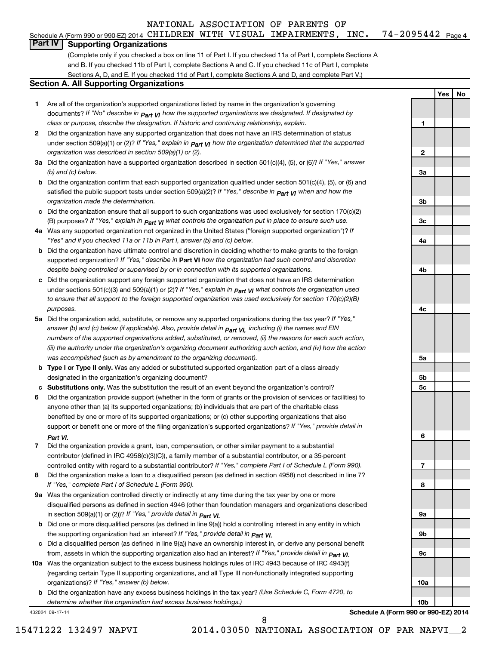### Schedule A (Form 990 or 990-EZ) 2014 <code>CHILDREN WITH VISUAL IMPAIRMENTS</code> , <code>INC. 74-2095442</code> <code>Page</code> **Part IV Supporting Organizations**

(Complete only if you checked a box on line 11 of Part I. If you checked 11a of Part I, complete Sections A and B. If you checked 11b of Part I, complete Sections A and C. If you checked 11c of Part I, complete Sections A, D, and E. If you checked 11d of Part I, complete Sections A and D, and complete Part V.)

#### **Section A. All Supporting Organizations**

- **1** Are all of the organization's supported organizations listed by name in the organization's governing documents? If "No" describe in  $_{\mathsf{Part}}$   $_{\mathsf{V}}$  how the supported organizations are designated. If designated by *class or purpose, describe the designation. If historic and continuing relationship, explain.*
- **2** Did the organization have any supported organization that does not have an IRS determination of status under section 509(a)(1) or (2)? If "Yes," explain in  $_{\sf Part}$   $_{\sf VI}$  how the organization determined that the supported *organization was described in section 509(a)(1) or (2).*
- **3a** Did the organization have a supported organization described in section 501(c)(4), (5), or (6)? If "Yes," answer *(b) and (c) below.*
- **b** Did the organization confirm that each supported organization qualified under section 501(c)(4), (5), or (6) and satisfied the public support tests under section 509(a)(2)? If "Yes," describe in  $_{\rm Part}$   $_{\rm VI}$  when and how the *organization made the determination.*
- **c** Did the organization ensure that all support to such organizations was used exclusively for section 170(c)(2) (B) purposes? If "Yes," explain in  $_{\mathsf{Part}}$   $_{\mathsf{V}}$  what controls the organization put in place to ensure such use.
- **4 a** *If* Was any supported organization not organized in the United States ("foreign supported organization")? *"Yes" and if you checked 11a or 11b in Part I, answer (b) and (c) below.*
- **b** Did the organization have ultimate control and discretion in deciding whether to make grants to the foreign supported organization? If "Yes," describe in Part VI how the organization had such control and discretion *despite being controlled or supervised by or in connection with its supported organizations.*
- **c** Did the organization support any foreign supported organization that does not have an IRS determination under sections 501(c)(3) and 509(a)(1) or (2)? If "Yes," ex*plain in*  $_{\sf Part}$  *v*J what controls the organization used *to ensure that all support to the foreign supported organization was used exclusively for section 170(c)(2)(B) purposes.*
- **5a** Did the organization add, substitute, or remove any supported organizations during the tax year? If "Yes," answer (b) and (c) below (if applicable). Also, provide detail in  $_{\mathsf{Part}}$   $_{\mathsf{V{\mathsf{I}}}}$ , including (i) the names and EIN *numbers of the supported organizations added, substituted, or removed, (ii) the reasons for each such action, (iii) the authority under the organization's organizing document authorizing such action, and (iv) how the action was accomplished (such as by amendment to the organizing document).*
- **b** Type I or Type II only. Was any added or substituted supported organization part of a class already designated in the organization's organizing document?
- **c Substitutions only.**  Was the substitution the result of an event beyond the organization's control?
- **6** Did the organization provide support (whether in the form of grants or the provision of services or facilities) to support or benefit one or more of the filing organization's supported organizations? If "Yes," provide detail in anyone other than (a) its supported organizations; (b) individuals that are part of the charitable class benefited by one or more of its supported organizations; or (c) other supporting organizations that also *Part VI.*
- **7** Did the organization provide a grant, loan, compensation, or other similar payment to a substantial controlled entity with regard to a substantial contributor? If "Yes," complete Part I of Schedule L (Form 990). contributor (defined in IRC 4958(c)(3)(C)), a family member of a substantial contributor, or a 35-percent
- **8** Did the organization make a loan to a disqualified person (as defined in section 4958) not described in line 7? *If "Yes," complete Part I of Schedule L (Form 990).*
- **9 a** Was the organization controlled directly or indirectly at any time during the tax year by one or more *If "Yes," provide detail in*  in section 509(a)(1) or (2))? *Part VI.* disqualified persons as defined in section 4946 (other than foundation managers and organizations described
- **b** Did one or more disqualified persons (as defined in line 9(a)) hold a controlling interest in any entity in which  *If "Yes," provide detail in*  the supporting organization had an interest? *Part VI.*
- **c** Did a disqualified person (as defined in line 9(a)) have an ownership interest in, or derive any personal benefit from, assets in which the supporting organization also had an interest? If "Yes," *provide detail in Part VI.*
- **10 a** Was the organization subject to the excess business holdings rules of IRC 4943 because of IRC 4943(f)  *If "Yes," answer (b) below.* organizations)? (regarding certain Type II supporting organizations, and all Type III non-functionally integrated supporting
	- **b** Did the organization have any excess business holdings in the tax year? (Use Schedule C, Form 4720, to *determine whether the organization had excess business holdings.)*

432024 09-17-14

**4c 5a 5b 5c 6 7 8 9a 9b 9c 10a 10b**

74-2095442 Page 4

**1**

**2**

**3a**

**3b**

**3c**

**4a**

**4b**

**Yes No**

**Schedule A (Form 990 or 990-EZ) 2014**

8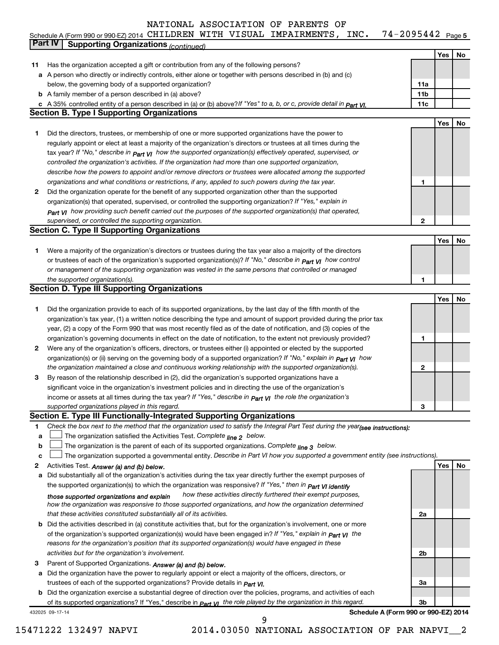|    | Schedule A (Form 990 or 990-EZ) 2014 CHILDREN WITH VISUAL IMPAIRMENTS, INC.<br>$74 - 2095442$ Page 5                             |                 |     |    |
|----|----------------------------------------------------------------------------------------------------------------------------------|-----------------|-----|----|
|    | <b>Part IV</b><br><b>Supporting Organizations (continued)</b>                                                                    |                 |     |    |
|    |                                                                                                                                  |                 | Yes | No |
| 11 | Has the organization accepted a gift or contribution from any of the following persons?                                          |                 |     |    |
|    | a A person who directly or indirectly controls, either alone or together with persons described in (b) and (c)                   |                 |     |    |
|    | below, the governing body of a supported organization?                                                                           | 11a             |     |    |
|    | <b>b</b> A family member of a person described in (a) above?                                                                     | 11 <sub>b</sub> |     |    |
|    | c A 35% controlled entity of a person described in (a) or (b) above? If "Yes" to a, b, or c, provide detail in part VI.          | 11c             |     |    |
|    | <b>Section B. Type I Supporting Organizations</b>                                                                                |                 |     |    |
|    |                                                                                                                                  |                 | Yes | No |
| 1  | Did the directors, trustees, or membership of one or more supported organizations have the power to                              |                 |     |    |
|    | regularly appoint or elect at least a majority of the organization's directors or trustees at all times during the               |                 |     |    |
|    | tax year? If "No," describe in $P_{art}$ VI how the supported organization(s) effectively operated, supervised, or               |                 |     |    |
|    | controlled the organization's activities. If the organization had more than one supported organization,                          |                 |     |    |
|    | describe how the powers to appoint and/or remove directors or trustees were allocated among the supported                        |                 |     |    |
|    | organizations and what conditions or restrictions, if any, applied to such powers during the tax year.                           | 1               |     |    |
| 2  | Did the organization operate for the benefit of any supported organization other than the supported                              |                 |     |    |
|    | organization(s) that operated, supervised, or controlled the supporting organization? If "Yes," explain in                       |                 |     |    |
|    | $_{Part}$ v <sub>I</sub> how providing such benefit carried out the purposes of the supported organization(s) that operated,     |                 |     |    |
|    | supervised, or controlled the supporting organization.                                                                           | $\mathbf{2}$    |     |    |
|    | <b>Section C. Type II Supporting Organizations</b>                                                                               |                 |     |    |
|    |                                                                                                                                  |                 | Yes | No |
| 1. | Were a majority of the organization's directors or trustees during the tax year also a majority of the directors                 |                 |     |    |
|    | or trustees of each of the organization's supported organization(s)? If "No," describe in <b>Part VI</b> how control             |                 |     |    |
|    | or management of the supporting organization was vested in the same persons that controlled or managed                           |                 |     |    |
|    | the supported organization(s).                                                                                                   | 1               |     |    |
|    | <b>Section D. Type III Supporting Organizations</b>                                                                              |                 | Yes |    |
| 1. | Did the organization provide to each of its supported organizations, by the last day of the fifth month of the                   |                 |     | No |
|    | organization's tax year, (1) a written notice describing the type and amount of support provided during the prior tax            |                 |     |    |
|    | year, (2) a copy of the Form 990 that was most recently filed as of the date of notification, and (3) copies of the              |                 |     |    |
|    | organization's governing documents in effect on the date of notification, to the extent not previously provided?                 | 1               |     |    |
| 2  | Were any of the organization's officers, directors, or trustees either (i) appointed or elected by the supported                 |                 |     |    |
|    | organization(s) or (ii) serving on the governing body of a supported organization? If "No," explain in part VI how               |                 |     |    |
|    | the organization maintained a close and continuous working relationship with the supported organization(s).                      | 2               |     |    |
| 3  | By reason of the relationship described in (2), did the organization's supported organizations have a                            |                 |     |    |
|    | significant voice in the organization's investment policies and in directing the use of the organization's                       |                 |     |    |
|    | income or assets at all times during the tax year? If "Yes," describe in part VI the role the organization's                     |                 |     |    |
|    | supported organizations played in this regard.                                                                                   | 3               |     |    |
|    | Section E. Type III Functionally-Integrated Supporting Organizations                                                             |                 |     |    |
| 1  | Check the box next to the method that the organization used to satisfy the Integral Part Test during the year(see instructions): |                 |     |    |
| a  | The organization satisfied the Activities Test. Complete line 2 below.                                                           |                 |     |    |
| b  | The organization is the parent of each of its supported organizations. Complete line 3 below.                                    |                 |     |    |
| c  | The organization supported a governmental entity. Describe in Part VI how you supported a government entity (see instructions).  |                 |     |    |
| 2  | Activities Test. Answer (a) and (b) below.                                                                                       |                 | Yes | No |
| a  | Did substantially all of the organization's activities during the tax year directly further the exempt purposes of               |                 |     |    |
|    | the supported organization(s) to which the organization was responsive? If "Yes," then in Part VI identify                       |                 |     |    |
|    | how these activities directly furthered their exempt purposes,<br>those supported organizations and explain                      |                 |     |    |
|    | how the organization was responsive to those supported organizations, and how the organization determined                        |                 |     |    |
|    | that these activities constituted substantially all of its activities.                                                           | 2a              |     |    |
| b  | Did the activities described in (a) constitute activities that, but for the organization's involvement, one or more              |                 |     |    |
|    | of the organization's supported organization(s) would have been engaged in? If "Yes," explain in <b>Part VI</b> the              |                 |     |    |
|    | reasons for the organization's position that its supported organization(s) would have engaged in these                           |                 |     |    |
|    | activities but for the organization's involvement.                                                                               | 2b              |     |    |
| 3  | Parent of Supported Organizations. Answer (a) and (b) below.                                                                     |                 |     |    |
| а  | Did the organization have the power to regularly appoint or elect a majority of the officers, directors, or                      |                 |     |    |
|    | trustees of each of the supported organizations? Provide details in Part VI.                                                     | За              |     |    |

**b** Did the organization exercise a substantial degree of direction over the policies, programs, and activities of each of its supported organizations? If "Yes," describe in *part γι the role played by the organization in this regard.* 

9

432025 09-17-14

**Schedule A (Form 990 or 990-EZ) 2014**

**3b**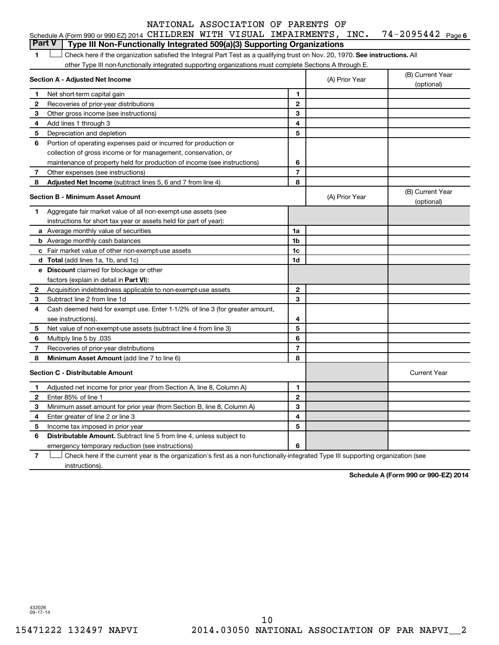| Schedule A (Form 990 or 990-EZ) 2014 <code>CHILDREN WITH VISUAL IMPAIRMENTS</code> , <code>INC. 74–2095442</code> <code> Page 6</code> |  |  |  |  |
|----------------------------------------------------------------------------------------------------------------------------------------|--|--|--|--|
| Part V   Type III Non-Functionally Integrated 509(a)(3) Supporting Organizations                                                       |  |  |  |  |

1 **Letter on Reck here if the organization satisfied the Integral Part Test as a qualifying trust on Nov. 20, 1970. See instructions. All** other Type III non-functionally integrated supporting organizations must complete Sections A through E.

| Section A - Adjusted Net Income |                                                                              | (A) Prior Year | (B) Current Year<br>(optional) |                                |
|---------------------------------|------------------------------------------------------------------------------|----------------|--------------------------------|--------------------------------|
| 1                               | Net short-term capital gain                                                  | 1              |                                |                                |
| $\mathbf{2}$                    | Recoveries of prior-year distributions                                       | $\overline{2}$ |                                |                                |
| 3                               | Other gross income (see instructions)                                        | 3              |                                |                                |
| 4                               | Add lines 1 through 3                                                        | 4              |                                |                                |
| 5                               | Depreciation and depletion                                                   | 5              |                                |                                |
| 6                               | Portion of operating expenses paid or incurred for production or             |                |                                |                                |
|                                 | collection of gross income or for management, conservation, or               |                |                                |                                |
|                                 | maintenance of property held for production of income (see instructions)     | 6              |                                |                                |
| 7                               | Other expenses (see instructions)                                            | $\overline{7}$ |                                |                                |
| 8                               | Adjusted Net Income (subtract lines 5, 6 and 7 from line 4)                  | 8              |                                |                                |
|                                 | <b>Section B - Minimum Asset Amount</b>                                      |                | (A) Prior Year                 | (B) Current Year<br>(optional) |
| 1                               | Aggregate fair market value of all non-exempt-use assets (see                |                |                                |                                |
|                                 | instructions for short tax year or assets held for part of year):            |                |                                |                                |
|                                 | a Average monthly value of securities                                        | 1a             |                                |                                |
|                                 | <b>b</b> Average monthly cash balances                                       | 1b             |                                |                                |
|                                 | c Fair market value of other non-exempt-use assets                           | 1c             |                                |                                |
|                                 | d Total (add lines 1a, 1b, and 1c)                                           | 1d             |                                |                                |
|                                 | <b>e</b> Discount claimed for blockage or other                              |                |                                |                                |
|                                 | factors (explain in detail in <b>Part VI</b> ):                              |                |                                |                                |
| $\mathbf{2}$                    | Acquisition indebtedness applicable to non-exempt-use assets                 | $\mathbf{2}$   |                                |                                |
| 3                               | Subtract line 2 from line 1d                                                 | 3              |                                |                                |
| 4                               | Cash deemed held for exempt use. Enter 1-1/2% of line 3 (for greater amount, |                |                                |                                |
|                                 | see instructions).                                                           | 4              |                                |                                |
| 5                               | Net value of non-exempt-use assets (subtract line 4 from line 3)             | 5              |                                |                                |
| 6                               | Multiply line 5 by .035                                                      | 6              |                                |                                |
| 7                               | Recoveries of prior-year distributions                                       | $\overline{7}$ |                                |                                |
| 8                               | Minimum Asset Amount (add line 7 to line 6)                                  | 8              |                                |                                |
|                                 | <b>Section C - Distributable Amount</b>                                      |                |                                | <b>Current Year</b>            |
| 1                               | Adjusted net income for prior year (from Section A, line 8, Column A)        | 1              |                                |                                |
| 2                               | Enter 85% of line 1                                                          | $\overline{2}$ |                                |                                |
| 3                               | Minimum asset amount for prior year (from Section B, line 8, Column A)       | 3              |                                |                                |
| 4                               | Enter greater of line 2 or line 3                                            | 4              |                                |                                |
| 5                               | Income tax imposed in prior year                                             | 5              |                                |                                |
| 6                               | Distributable Amount. Subtract line 5 from line 4, unless subject to         |                |                                |                                |
|                                 | emergency temporary reduction (see instructions)                             | 6              |                                |                                |
|                                 |                                                                              |                |                                |                                |

**7** Check here if the current year is the organization's first as a non-functionally-integrated Type III supporting organization (see † instructions).

**Schedule A (Form 990 or 990-EZ) 2014**

432026 09-17-14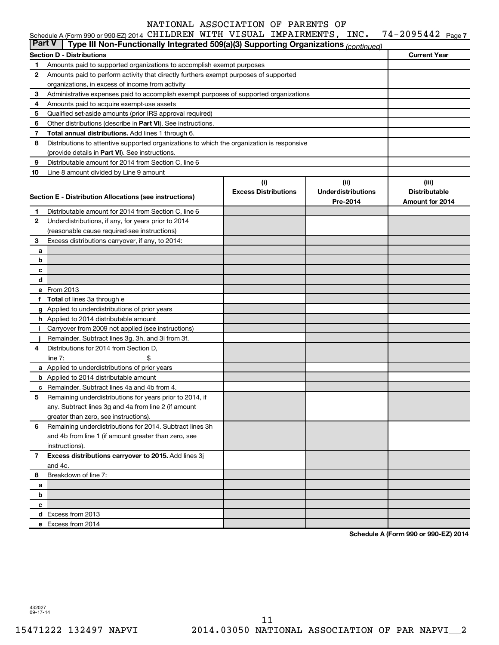|                                                                                                      | Schedule A (Form 990 or 990-EZ) 2014 CHILDREN WITH VISUAL IMPAIRMENTS, INC.                |                             |                           | $74 - 2095442$ Page 7 |  |  |  |
|------------------------------------------------------------------------------------------------------|--------------------------------------------------------------------------------------------|-----------------------------|---------------------------|-----------------------|--|--|--|
| <b>Part V</b><br>Type III Non-Functionally Integrated 509(a)(3) Supporting Organizations (continued) |                                                                                            |                             |                           |                       |  |  |  |
|                                                                                                      | <b>Section D - Distributions</b>                                                           | <b>Current Year</b>         |                           |                       |  |  |  |
| 1                                                                                                    | Amounts paid to supported organizations to accomplish exempt purposes                      |                             |                           |                       |  |  |  |
| 2                                                                                                    | Amounts paid to perform activity that directly furthers exempt purposes of supported       |                             |                           |                       |  |  |  |
|                                                                                                      | organizations, in excess of income from activity                                           |                             |                           |                       |  |  |  |
| 3                                                                                                    | Administrative expenses paid to accomplish exempt purposes of supported organizations      |                             |                           |                       |  |  |  |
| 4                                                                                                    | Amounts paid to acquire exempt-use assets                                                  |                             |                           |                       |  |  |  |
| 5                                                                                                    | Qualified set-aside amounts (prior IRS approval required)                                  |                             |                           |                       |  |  |  |
| 6                                                                                                    | Other distributions (describe in Part VI). See instructions.                               |                             |                           |                       |  |  |  |
| 7                                                                                                    | Total annual distributions. Add lines 1 through 6.                                         |                             |                           |                       |  |  |  |
| 8                                                                                                    | Distributions to attentive supported organizations to which the organization is responsive |                             |                           |                       |  |  |  |
|                                                                                                      | (provide details in Part VI). See instructions.                                            |                             |                           |                       |  |  |  |
| 9                                                                                                    | Distributable amount for 2014 from Section C, line 6                                       |                             |                           |                       |  |  |  |
| 10                                                                                                   | Line 8 amount divided by Line 9 amount                                                     |                             |                           |                       |  |  |  |
|                                                                                                      |                                                                                            | (i)                         | (ii)                      | (iii)                 |  |  |  |
|                                                                                                      |                                                                                            | <b>Excess Distributions</b> | <b>Underdistributions</b> | <b>Distributable</b>  |  |  |  |
|                                                                                                      | Section E - Distribution Allocations (see instructions)                                    |                             | Pre-2014                  | Amount for 2014       |  |  |  |
| 1.                                                                                                   | Distributable amount for 2014 from Section C, line 6                                       |                             |                           |                       |  |  |  |
| 2                                                                                                    | Underdistributions, if any, for years prior to 2014                                        |                             |                           |                       |  |  |  |
|                                                                                                      | (reasonable cause required-see instructions)                                               |                             |                           |                       |  |  |  |
| 3                                                                                                    | Excess distributions carryover, if any, to 2014:                                           |                             |                           |                       |  |  |  |
| a                                                                                                    |                                                                                            |                             |                           |                       |  |  |  |
| b                                                                                                    |                                                                                            |                             |                           |                       |  |  |  |
| с                                                                                                    |                                                                                            |                             |                           |                       |  |  |  |
| d                                                                                                    |                                                                                            |                             |                           |                       |  |  |  |
|                                                                                                      | e From 2013                                                                                |                             |                           |                       |  |  |  |
| f                                                                                                    | <b>Total</b> of lines 3a through e                                                         |                             |                           |                       |  |  |  |
|                                                                                                      | g Applied to underdistributions of prior years                                             |                             |                           |                       |  |  |  |
|                                                                                                      | h Applied to 2014 distributable amount                                                     |                             |                           |                       |  |  |  |
| Ť.                                                                                                   | Carryover from 2009 not applied (see instructions)                                         |                             |                           |                       |  |  |  |
|                                                                                                      | Remainder. Subtract lines 3g, 3h, and 3i from 3f.                                          |                             |                           |                       |  |  |  |
| 4                                                                                                    | Distributions for 2014 from Section D,                                                     |                             |                           |                       |  |  |  |
|                                                                                                      | line $7:$                                                                                  |                             |                           |                       |  |  |  |
|                                                                                                      | a Applied to underdistributions of prior years                                             |                             |                           |                       |  |  |  |
|                                                                                                      | <b>b</b> Applied to 2014 distributable amount                                              |                             |                           |                       |  |  |  |
|                                                                                                      | c Remainder. Subtract lines 4a and 4b from 4.                                              |                             |                           |                       |  |  |  |
|                                                                                                      | 5 Remaining underdistributions for years prior to 2014, if                                 |                             |                           |                       |  |  |  |
|                                                                                                      | any. Subtract lines 3g and 4a from line 2 (if amount                                       |                             |                           |                       |  |  |  |
|                                                                                                      | greater than zero, see instructions).                                                      |                             |                           |                       |  |  |  |
| 6                                                                                                    | Remaining underdistributions for 2014. Subtract lines 3h                                   |                             |                           |                       |  |  |  |
|                                                                                                      | and 4b from line 1 (if amount greater than zero, see                                       |                             |                           |                       |  |  |  |
|                                                                                                      |                                                                                            |                             |                           |                       |  |  |  |
|                                                                                                      | instructions).<br>Excess distributions carryover to 2015. Add lines 3j                     |                             |                           |                       |  |  |  |
| 7                                                                                                    |                                                                                            |                             |                           |                       |  |  |  |
| 8                                                                                                    | and 4c.<br>Breakdown of line 7:                                                            |                             |                           |                       |  |  |  |
|                                                                                                      |                                                                                            |                             |                           |                       |  |  |  |
| a                                                                                                    |                                                                                            |                             |                           |                       |  |  |  |
| b                                                                                                    |                                                                                            |                             |                           |                       |  |  |  |
| с                                                                                                    |                                                                                            |                             |                           |                       |  |  |  |
|                                                                                                      | d Excess from 2013                                                                         |                             |                           |                       |  |  |  |
|                                                                                                      | e Excess from 2014                                                                         |                             |                           |                       |  |  |  |

**Schedule A (Form 990 or 990-EZ) 2014**

432027 09-17-14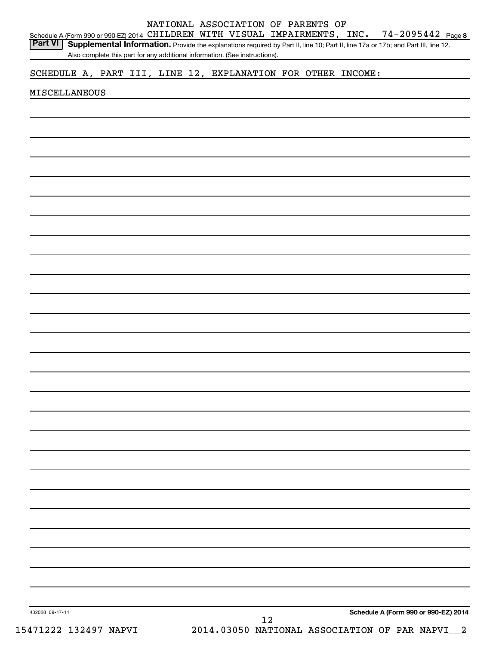Schedule A (Form 990 or 990-EZ) 2014 <code>CHILDREN WITH VISUAL IMPAIRMENTS</code> , <code>INC. 74–2095442</code> <code>Page 8</code> Part VI | Supplemental Information. Provide the explanations required by Part II, line 10; Part II, line 17a or 17b; and Part III, line 12.

NATIONAL ASSOCIATION OF PARENTS OF

Also complete this part for any additional information. (See instructions).

SCHEDULE A, PART III, LINE 12, EXPLANATION FOR OTHER INCOME:

#### MISCELLANEOUS

**Schedule A (Form 990 or 990-EZ) 2014**

432028 09-17-14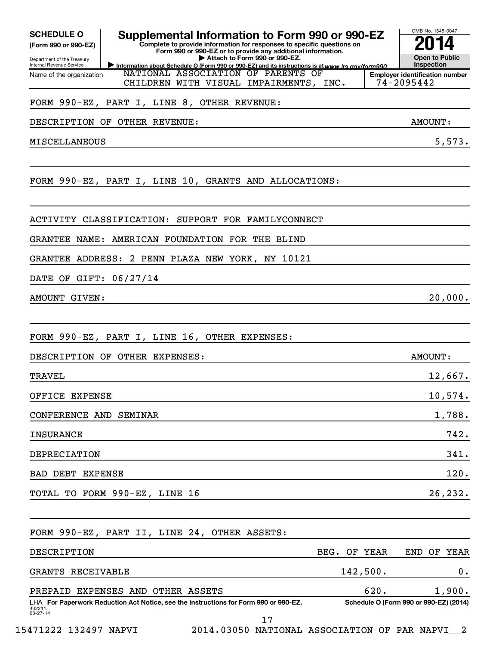| <b>SCHEDULE O</b><br>(Form 990 or 990-EZ)<br>Department of the Treasury<br>Internal Revenue Service | Supplemental Information to Form 990 or 990-EZ<br>Complete to provide information for responses to specific questions on<br>Form 990 or 990-EZ or to provide any additional information.<br>Attach to Form 990 or 990-EZ.<br>Information about Schedule O (Form 990 or 990-EZ) and its instructions is at www.irs.gov/form990. |              | OMB No. 1545-0047<br><b>Open to Public</b><br>Inspection |
|-----------------------------------------------------------------------------------------------------|--------------------------------------------------------------------------------------------------------------------------------------------------------------------------------------------------------------------------------------------------------------------------------------------------------------------------------|--------------|----------------------------------------------------------|
| Name of the organization                                                                            | NATIONAL ASSOCIATION OF PARENTS OF<br>CHILDREN WITH VISUAL IMPAIRMENTS, INC.                                                                                                                                                                                                                                                   |              | <b>Employer identification number</b><br>74-2095442      |
|                                                                                                     | FORM 990-EZ, PART I, LINE 8, OTHER REVENUE:                                                                                                                                                                                                                                                                                    |              |                                                          |
|                                                                                                     | DESCRIPTION OF OTHER REVENUE:                                                                                                                                                                                                                                                                                                  |              | AMOUNT:                                                  |
|                                                                                                     |                                                                                                                                                                                                                                                                                                                                |              | 5,573.                                                   |
| MISCELLANEOUS                                                                                       |                                                                                                                                                                                                                                                                                                                                |              |                                                          |
|                                                                                                     | FORM 990-EZ, PART I, LINE 10, GRANTS AND ALLOCATIONS:                                                                                                                                                                                                                                                                          |              |                                                          |
|                                                                                                     | ACTIVITY CLASSIFICATION: SUPPORT FOR FAMILYCONNECT                                                                                                                                                                                                                                                                             |              |                                                          |
|                                                                                                     | GRANTEE NAME: AMERICAN FOUNDATION FOR THE BLIND                                                                                                                                                                                                                                                                                |              |                                                          |
|                                                                                                     | GRANTEE ADDRESS: 2 PENN PLAZA NEW YORK, NY 10121                                                                                                                                                                                                                                                                               |              |                                                          |
| DATE OF GIFT: 06/27/14                                                                              |                                                                                                                                                                                                                                                                                                                                |              |                                                          |
| AMOUNT GIVEN:                                                                                       |                                                                                                                                                                                                                                                                                                                                |              | 20,000.                                                  |
|                                                                                                     |                                                                                                                                                                                                                                                                                                                                |              |                                                          |
|                                                                                                     | FORM 990-EZ, PART I, LINE 16, OTHER EXPENSES:                                                                                                                                                                                                                                                                                  |              |                                                          |
|                                                                                                     | DESCRIPTION OF OTHER EXPENSES:                                                                                                                                                                                                                                                                                                 |              | AMOUNT:                                                  |
| TRAVEL                                                                                              |                                                                                                                                                                                                                                                                                                                                |              | 12,667.                                                  |
| OFFICE EXPENSE                                                                                      |                                                                                                                                                                                                                                                                                                                                |              | 10,574.                                                  |
| CONFERENCE AND SEMINAR                                                                              |                                                                                                                                                                                                                                                                                                                                |              | 1,788.                                                   |
| <b>INSURANCE</b>                                                                                    |                                                                                                                                                                                                                                                                                                                                |              | 742.                                                     |
| DEPRECIATION                                                                                        |                                                                                                                                                                                                                                                                                                                                |              | 341.                                                     |
| BAD DEBT EXPENSE                                                                                    |                                                                                                                                                                                                                                                                                                                                |              | 120.                                                     |
|                                                                                                     | TOTAL TO FORM 990-EZ, LINE 16                                                                                                                                                                                                                                                                                                  |              | 26,232.                                                  |
|                                                                                                     |                                                                                                                                                                                                                                                                                                                                |              |                                                          |
|                                                                                                     | FORM 990-EZ, PART II, LINE 24, OTHER ASSETS:                                                                                                                                                                                                                                                                                   |              |                                                          |
| DESCRIPTION                                                                                         |                                                                                                                                                                                                                                                                                                                                | BEG. OF YEAR | END OF YEAR                                              |
| GRANTS RECEIVABLE                                                                                   |                                                                                                                                                                                                                                                                                                                                | 142,500.     | 0.                                                       |
|                                                                                                     | PREPAID EXPENSES AND OTHER ASSETS                                                                                                                                                                                                                                                                                              |              | 620.<br>1,900.                                           |
| 432211<br>08-27-14                                                                                  | LHA For Paperwork Reduction Act Notice, see the Instructions for Form 990 or 990-EZ.                                                                                                                                                                                                                                           |              | Schedule O (Form 990 or 990-EZ) (2014)                   |

17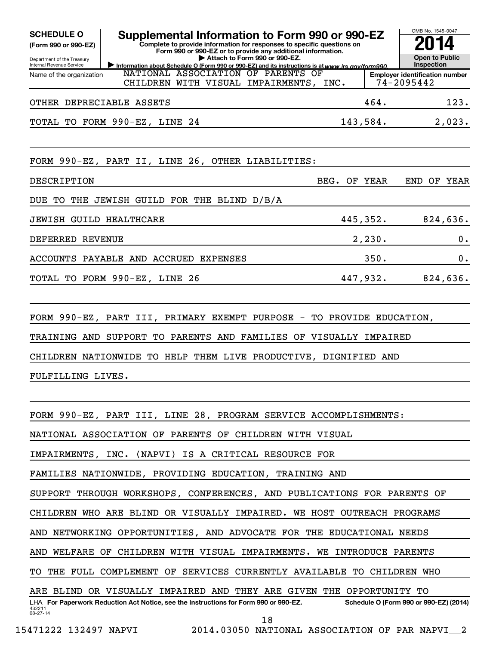| <b>SCHEDULE O</b><br>(Form 990 or 990-EZ)<br>Department of the Treasury | Supplemental Information to Form 990 or 990-EZ<br>Complete to provide information for responses to specific questions on<br>Form 990 or 990-EZ or to provide any additional information.<br>Attach to Form 990 or 990-EZ. |  |          | OMB No. 1545-0047<br><b>Open to Public</b><br>Inspection |          |  |  |
|-------------------------------------------------------------------------|---------------------------------------------------------------------------------------------------------------------------------------------------------------------------------------------------------------------------|--|----------|----------------------------------------------------------|----------|--|--|
| Internal Revenue Service<br>Name of the organization                    | Information about Schedule O (Form 990 or 990-EZ) and its instructions is at www.irs.gov/form990.<br>NATIONAL ASSOCIATION OF PARENTS OF<br>CHILDREN WITH VISUAL IMPAIRMENTS, INC.                                         |  |          | <b>Employer identification number</b><br>74-2095442      |          |  |  |
| OTHER DEPRECIABLE ASSETS                                                |                                                                                                                                                                                                                           |  | 464.     |                                                          | 123.     |  |  |
|                                                                         | TOTAL TO FORM 990-EZ, LINE 24                                                                                                                                                                                             |  | 143,584. |                                                          | 2,023.   |  |  |
|                                                                         | FORM 990-EZ, PART II, LINE 26, OTHER LIABILITIES:                                                                                                                                                                         |  |          |                                                          |          |  |  |
| DESCRIPTION                                                             | BEG.                                                                                                                                                                                                                      |  | OF YEAR  | END OF YEAR                                              |          |  |  |
| DUE<br>TO                                                               | THE JEWISH GUILD FOR THE BLIND D/B/A                                                                                                                                                                                      |  |          |                                                          |          |  |  |
| <b>JEWISH GUILD HEALTHCARE</b>                                          |                                                                                                                                                                                                                           |  | 445,352. |                                                          | 824,636. |  |  |
| DEFERRED REVENUE                                                        |                                                                                                                                                                                                                           |  | 2,230.   |                                                          | 0.       |  |  |
|                                                                         | ACCOUNTS PAYABLE AND ACCRUED EXPENSES                                                                                                                                                                                     |  | 350.     |                                                          | 0.       |  |  |
|                                                                         | TOTAL TO FORM 990-EZ, LINE 26                                                                                                                                                                                             |  | 447,932. |                                                          | 824,636. |  |  |
| FULFILLING LIVES.                                                       | FORM 990-EZ, PART III, PRIMARY EXEMPT PURPOSE - TO PROVIDE EDUCATION,<br>TRAINING AND SUPPORT TO PARENTS AND FAMILIES OF VISUALLY IMPAIRED<br>CHILDREN NATIONWIDE TO HELP THEM LIVE PRODUCTIVE, DIGNIFIED AND             |  |          |                                                          |          |  |  |
|                                                                         | FORM 990-EZ, PART III, LINE 28, PROGRAM SERVICE ACCOMPLISHMENTS:                                                                                                                                                          |  |          |                                                          |          |  |  |
| NATIONAL ASSOCIATION OF PARENTS OF CHILDREN WITH VISUAL                 |                                                                                                                                                                                                                           |  |          |                                                          |          |  |  |
| IMPAIRMENTS, INC. (NAPVI) IS A CRITICAL RESOURCE FOR                    |                                                                                                                                                                                                                           |  |          |                                                          |          |  |  |
|                                                                         | FAMILIES NATIONWIDE, PROVIDING EDUCATION, TRAINING AND                                                                                                                                                                    |  |          |                                                          |          |  |  |
| SUPPORT THROUGH WORKSHOPS, CONFERENCES, AND PUBLICATIONS FOR PARENTS OF |                                                                                                                                                                                                                           |  |          |                                                          |          |  |  |
|                                                                         | CHILDREN WHO ARE BLIND OR VISUALLY IMPAIRED. WE HOST OUTREACH PROGRAMS                                                                                                                                                    |  |          |                                                          |          |  |  |
|                                                                         | AND NETWORKING OPPORTUNITIES, AND ADVOCATE FOR THE EDUCATIONAL NEEDS                                                                                                                                                      |  |          |                                                          |          |  |  |
| AND WELFARE OF CHILDREN WITH VISUAL IMPAIRMENTS. WE INTRODUCE PARENTS   |                                                                                                                                                                                                                           |  |          |                                                          |          |  |  |
|                                                                         | TO THE FULL COMPLEMENT OF SERVICES CURRENTLY AVAILABLE TO CHILDREN WHO                                                                                                                                                    |  |          |                                                          |          |  |  |
|                                                                         | ARE BLIND OR VISUALLY IMPAIRED AND THEY ARE GIVEN THE OPPORTUNITY TO                                                                                                                                                      |  |          |                                                          |          |  |  |
| 432211<br>08-27-14                                                      | LHA For Paperwork Reduction Act Notice, see the Instructions for Form 990 or 990-EZ.                                                                                                                                      |  |          | Schedule O (Form 990 or 990-EZ) (2014)                   |          |  |  |
|                                                                         | 18                                                                                                                                                                                                                        |  |          |                                                          |          |  |  |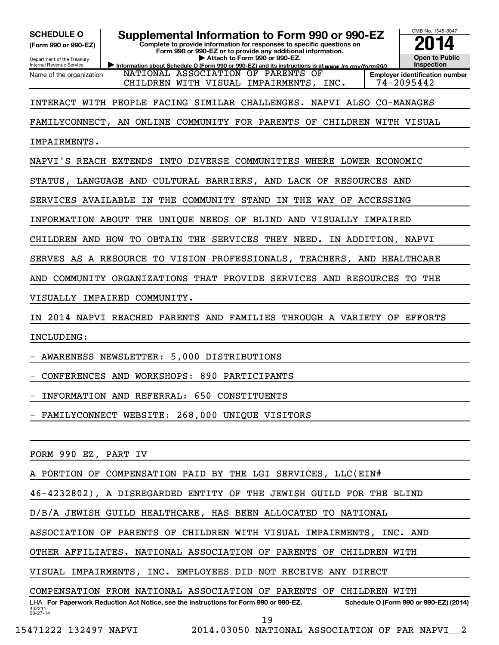**(Form 990 or 990-EZ)**

Department of the Treasury Internal Revenue Service Name of the organization

SCHEDULE O **Supplemental Information to Form 990 or 990-EZ 2014** 

**Complete to provide information for responses to specific questions on Form 990 or 990-EZ or to provide any additional information. | Attach to Form 990 or 990-EZ.**

OMB No. 1545-0047

**Open to Public Inspection**

Information about Schedule O (Form 990 or 990-EZ) and its instructions is at www.irs.gov/form990. **Employer identification number** NATIONAL ASSOCIATION OF PARENTS OF CHILDREN WITH VISUAL IMPAIRMENTS, INC. | 74-2095442

INTERACT WITH PEOPLE FACING SIMILAR CHALLENGES. NAPVI ALSO CO-MANAGES

FAMILYCONNECT, AN ONLINE COMMUNITY FOR PARENTS OF CHILDREN WITH VISUAL

IMPAIRMENTS.

NAPVI'S REACH EXTENDS INTO DIVERSE COMMUNITIES WHERE LOWER ECONOMIC

STATUS, LANGUAGE AND CULTURAL BARRIERS, AND LACK OF RESOURCES AND

SERVICES AVAILABLE IN THE COMMUNITY STAND IN THE WAY OF ACCESSING

INFORMATION ABOUT THE UNIQUE NEEDS OF BLIND AND VISUALLY IMPAIRED

CHILDREN AND HOW TO OBTAIN THE SERVICES THEY NEED. IN ADDITION, NAPVI

SERVES AS A RESOURCE TO VISION PROFESSIONALS, TEACHERS, AND HEALTHCARE

AND COMMUNITY ORGANIZATIONS THAT PROVIDE SERVICES AND RESOURCES TO THE

VISUALLY IMPAIRED COMMUNITY.

IN 2014 NAPVI REACHED PARENTS AND FAMILIES THROUGH A VARIETY OF EFFORTS

INCLUDING:

- AWARENESS NEWSLETTER: 5,000 DISTRIBUTIONS

- CONFERENCES AND WORKSHOPS: 890 PARTICIPANTS

- INFORMATION AND REFERRAL: 650 CONSTITUENTS

- FAMILYCONNECT WEBSITE: 268,000 UNIQUE VISITORS

FORM 990 EZ, PART IV

PORTION OF COMPENSATION PAID BY THE LGI SERVICES, LLC(EIN#

46-4232802), A DISREGARDED ENTITY OF THE JEWISH GUILD FOR THE BLIND

D/B/A JEWISH GUILD HEALTHCARE, HAS BEEN ALLOCATED TO NATIONAL

ASSOCIATION OF PARENTS OF CHILDREN WITH VISUAL IMPAIRMENTS, INC. AND

OTHER AFFILIATES. NATIONAL ASSOCIATION OF PARENTS OF CHILDREN WITH

VISUAL IMPAIRMENTS, INC. EMPLOYEES DID NOT RECEIVE ANY DIRECT

COMPENSATION FROM NATIONAL ASSOCIATION OF PARENTS OF CHILDREN WITH

432211 08-27-14 LHA For Paperwork Reduction Act Notice, see the Instructions for Form 990 or 990-EZ. Schedule O (Form 990 or 990-EZ) (2014) 19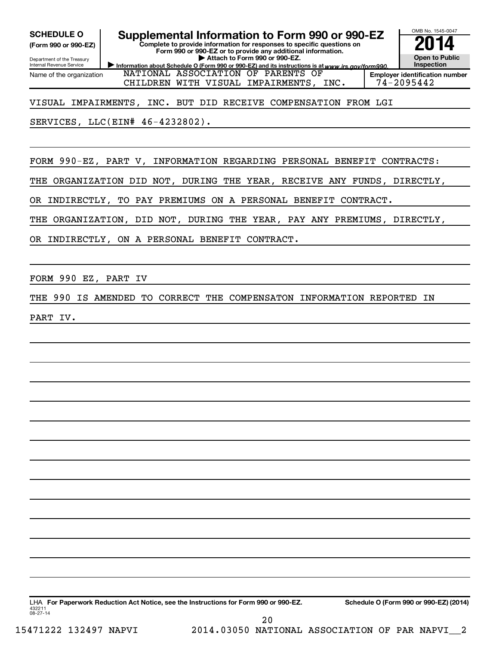**(Form 990 or 990-EZ)**

Department of the Treasury

Internal Revenue Service Name of the organization

**SCHEDULE O Supplemental Information to Form 990 or 990-EZ 2014** 

**Complete to provide information for responses to specific questions on Form 990 or 990-EZ or to provide any additional information. | Attach to Form 990 or 990-EZ.**

Information about Schedule O (Form 990 or 990-EZ) and its instructions is at www.irs.gov/form990.



OMB No. 1545-0047

CHILDREN WITH VISUAL IMPAIRMENTS, INC. 74-2095442

VISUAL IMPAIRMENTS, INC. BUT DID RECEIVE COMPENSATION FROM LGI

NATIONAL ASSOCIATION OF PARENTS OF

SERVICES, LLC(EIN# 46-4232802).

FORM 990-EZ, PART V, INFORMATION REGARDING PERSONAL BENEFIT CONTRACTS:

THE ORGANIZATION DID NOT, DURING THE YEAR, RECEIVE ANY FUNDS, DIRECTLY,

OR INDIRECTLY, TO PAY PREMIUMS ON A PERSONAL BENEFIT CONTRACT.

THE ORGANIZATION, DID NOT, DURING THE YEAR, PAY ANY PREMIUMS, DIRECTLY,

OR INDIRECTLY, ON A PERSONAL BENEFIT CONTRACT.

FORM 990 EZ, PART IV

THE 990 IS AMENDED TO CORRECT THE COMPENSATON INFORMATION REPORTED IN

PART IV.

432211 08-27-14 LHA For Paperwork Reduction Act Notice, see the Instructions for Form 990 or 990-EZ. Schedule O (Form 990 or 990-EZ) (2014)